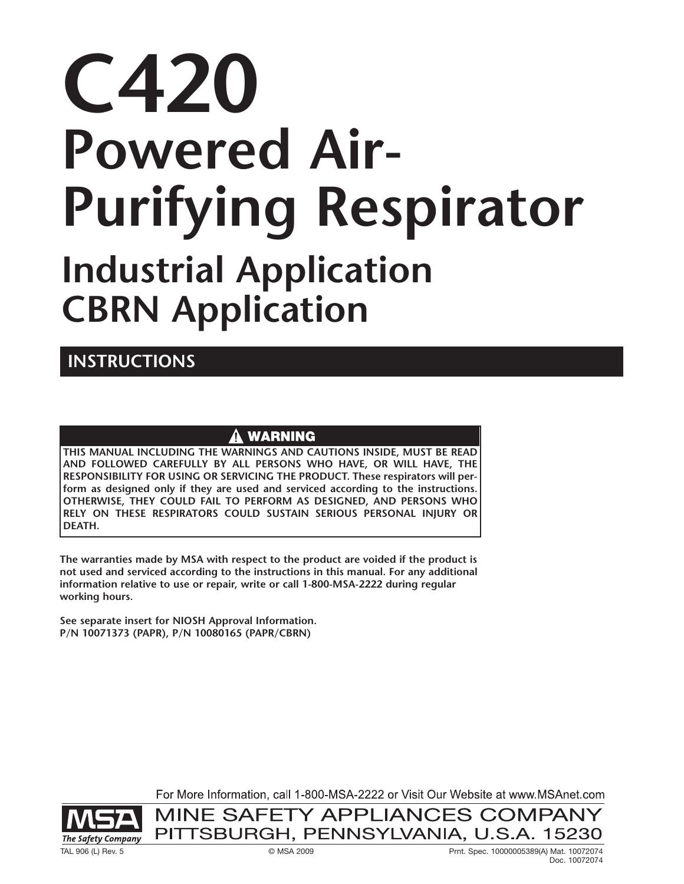# **C420 Powered Air-Purifying Respirator Industrial Application CBRN Application**

# **INSTRUCTIONS**

# **WARNING**

**THIS MANUAL INCLUDING THE WARNINGS AND CAUTIONS INSIDE, MUST BE READ AND FOLLOWED CAREFULLY BY ALL PERSONS WHO HAVE, OR WILL HAVE, THE RESPONSIBILITY FOR USING OR SERVICING THE PRODUCT. These respirators will perform as designed only if they are used and serviced according to the instructions. OTHERWISE, THEY COULD FAIL TO PERFORM AS DESIGNED, AND PERSONS WHO RELY ON THESE RESPIRATORS COULD SUSTAIN SERIOUS PERSONAL INJURY OR DEATH.**

**The warranties made by MSA with respect to the product are voided if the product is not used and serviced according to the instructions in this manual. For any additional information relative to use or repair, write or call 1-800-MSA-2222 during regular working hours.**

**See separate insert for NIOSH Approval Information. P/N 10071373 (PAPR), P/N 10080165 (PAPR/CBRN)**

For More Information, call 1-800-MSA-2222 or Visit Our Website at www.MSAnet.com

MINE SAFETY APPLIANCES COMPANY PITTSBURGH, PENNSYLVANIA, U.S.A. 15230

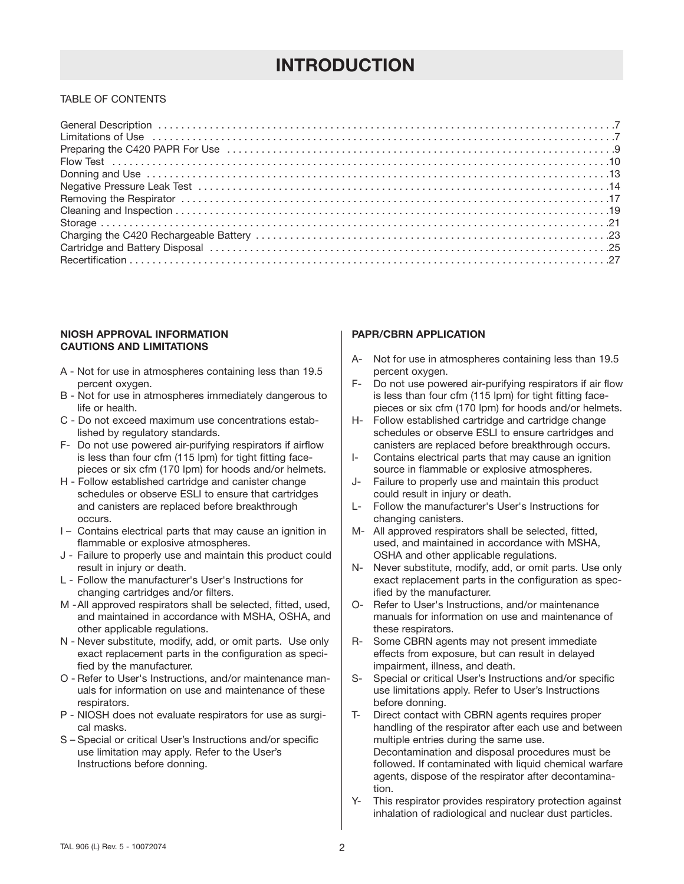# **INTRODUCTION**

# TABLE OF CONTENTS

### **NIOSH APPROVAL INFORMATION CAUTIONS AND LIMITATIONS**

- A Not for use in atmospheres containing less than 19.5 percent oxygen.
- B Not for use in atmospheres immediately dangerous to life or health.
- C Do not exceed maximum use concentrations established by regulatory standards.
- F- Do not use powered air-purifying respirators if airflow is less than four cfm (115 lpm) for tight fitting facepieces or six cfm (170 lpm) for hoods and/or helmets.
- H Follow established cartridge and canister change schedules or observe ESLI to ensure that cartridges and canisters are replaced before breakthrough occurs.
- I Contains electrical parts that may cause an ignition in flammable or explosive atmospheres.
- J Failure to properly use and maintain this product could result in injury or death.
- L Follow the manufacturer's User's Instructions for changing cartridges and/or filters.
- M -All approved respirators shall be selected, fitted, used, and maintained in accordance with MSHA, OSHA, and other applicable regulations.
- N Never substitute, modify, add, or omit parts. Use only exact replacement parts in the configuration as specified by the manufacturer.
- O Refer to User's Instructions, and/or maintenance manuals for information on use and maintenance of these respirators.
- P NIOSH does not evaluate respirators for use as surgical masks.
- S Special or critical User's Instructions and/or specific use limitation may apply. Refer to the User's Instructions before donning.

# **PAPR/CBRN APPLICATION**

- A- Not for use in atmospheres containing less than 19.5 percent oxygen.
- F- Do not use powered air-purifying respirators if air flow is less than four cfm (115 lpm) for tight fitting facepieces or six cfm (170 lpm) for hoods and/or helmets.
- H- Follow established cartridge and cartridge change schedules or observe ESLI to ensure cartridges and canisters are replaced before breakthrough occurs.
- I- Contains electrical parts that may cause an ignition source in flammable or explosive atmospheres.
- J- Failure to properly use and maintain this product could result in injury or death.
- L- Follow the manufacturer's User's Instructions for changing canisters.
- M- All approved respirators shall be selected, fitted, used, and maintained in accordance with MSHA, OSHA and other applicable regulations.
- N- Never substitute, modify, add, or omit parts. Use only exact replacement parts in the configuration as specified by the manufacturer.
- O- Refer to User's Instructions, and/or maintenance manuals for information on use and maintenance of these respirators.
- R- Some CBRN agents may not present immediate effects from exposure, but can result in delayed impairment, illness, and death.
- S- Special or critical User's Instructions and/or specific use limitations apply. Refer to User's Instructions before donning.
- T- Direct contact with CBRN agents requires proper handling of the respirator after each use and between multiple entries during the same use. Decontamination and disposal procedures must be followed. If contaminated with liquid chemical warfare agents, dispose of the respirator after decontamination.
- Y- This respirator provides respiratory protection against inhalation of radiological and nuclear dust particles.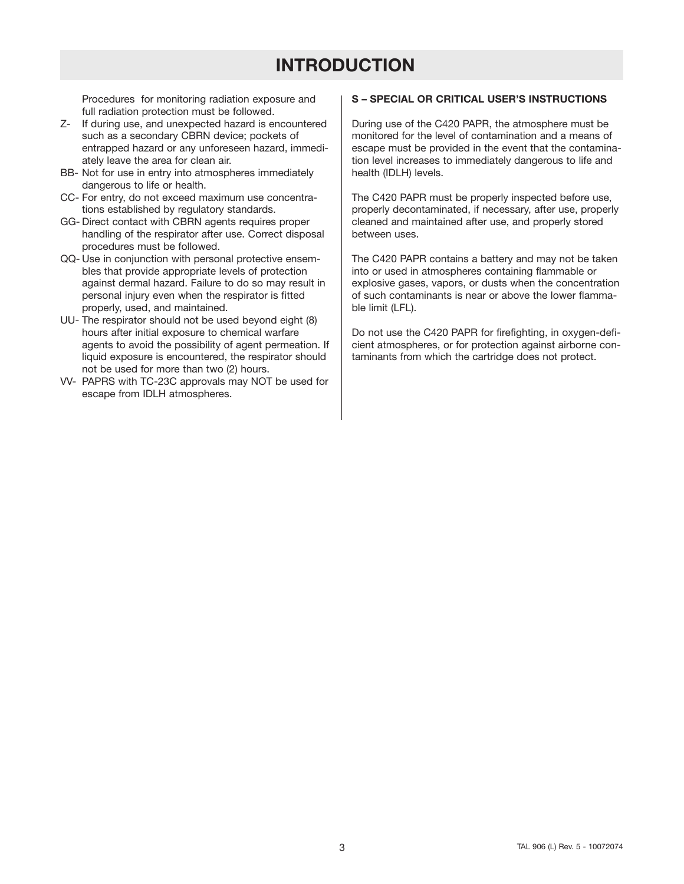# **INTRODUCTION**

Procedures for monitoring radiation exposure and full radiation protection must be followed.

- Z- If during use, and unexpected hazard is encountered such as a secondary CBRN device; pockets of entrapped hazard or any unforeseen hazard, immediately leave the area for clean air.
- BB- Not for use in entry into atmospheres immediately dangerous to life or health.
- CC- For entry, do not exceed maximum use concentrations established by regulatory standards.
- GG- Direct contact with CBRN agents requires proper handling of the respirator after use. Correct disposal procedures must be followed.
- QQ- Use in conjunction with personal protective ensembles that provide appropriate levels of protection against dermal hazard. Failure to do so may result in personal injury even when the respirator is fitted properly, used, and maintained.
- UU- The respirator should not be used beyond eight (8) hours after initial exposure to chemical warfare agents to avoid the possibility of agent permeation. If liquid exposure is encountered, the respirator should not be used for more than two (2) hours.
- VV- PAPRS with TC-23C approvals may NOT be used for escape from IDLH atmospheres.

# **S – SPECIAL OR CRITICAL USER'S INSTRUCTIONS**

During use of the C420 PAPR, the atmosphere must be monitored for the level of contamination and a means of escape must be provided in the event that the contamination level increases to immediately dangerous to life and health (IDLH) levels.

The C420 PAPR must be properly inspected before use, properly decontaminated, if necessary, after use, properly cleaned and maintained after use, and properly stored between uses.

The C420 PAPR contains a battery and may not be taken into or used in atmospheres containing flammable or explosive gases, vapors, or dusts when the concentration of such contaminants is near or above the lower flammable limit (LFL).

Do not use the C420 PAPR for firefighting, in oxygen-deficient atmospheres, or for protection against airborne contaminants from which the cartridge does not protect.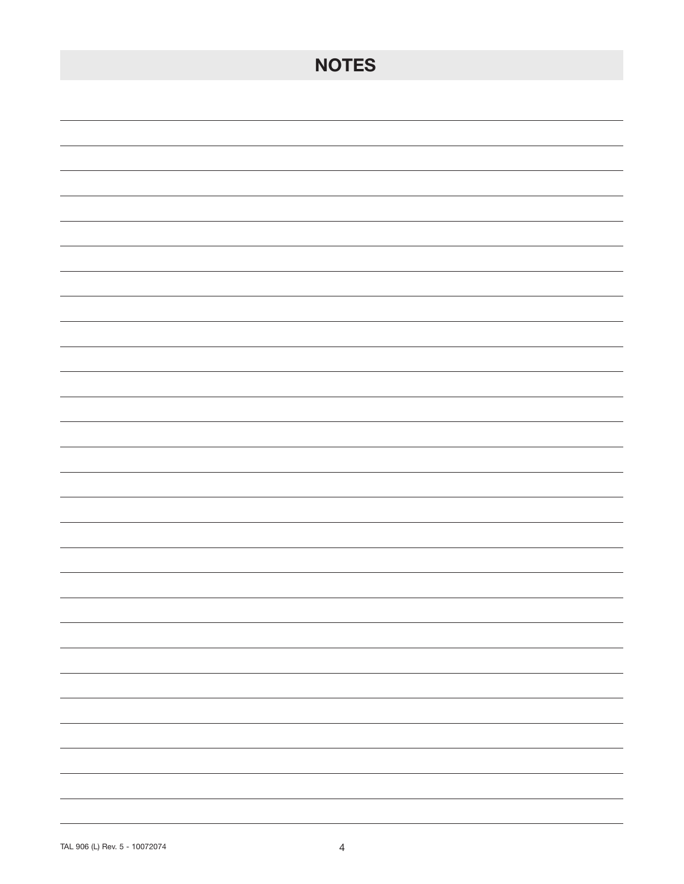| <b>NOTES</b>             |
|--------------------------|
|                          |
|                          |
|                          |
|                          |
|                          |
|                          |
|                          |
|                          |
|                          |
|                          |
|                          |
|                          |
|                          |
|                          |
|                          |
| ۰.                       |
| $\overline{\phantom{0}}$ |
| -                        |
| $\overline{\phantom{0}}$ |
| Ξ.<br>-                  |
|                          |
|                          |
|                          |
| Ξ.                       |
| -                        |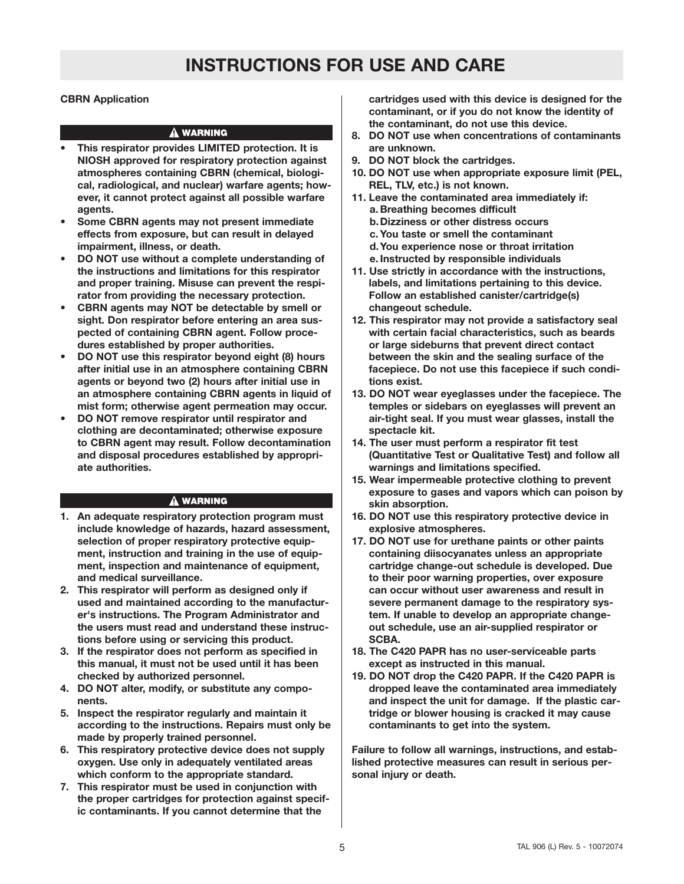# **INSTRUCTIONS FOR USE AND CARE**

### **CBRN Application**

#### **A WARNING**

- **This respirator provides LIMITED protection. It is NIOSH approved for respiratory protection against atmospheres containing CBRN (chemical, biological, radiological, and nuclear) warfare agents; however, it cannot protect against all possible warfare agents.**
- **• Some CBRN agents may not present immediate effects from exposure, but can result in delayed impairment, illness, or death.**
- **• DO NOT use without a complete understanding of the instructions and limitations for this respirator and proper training. Misuse can prevent the respirator from providing the necessary protection.**
- **• CBRN agents may NOT be detectable by smell or sight. Don respirator before entering an area suspected of containing CBRN agent. Follow procedures established by proper authorities.**
- **• DO NOT use this respirator beyond eight (8) hours after initial use in an atmosphere containing CBRN agents or beyond two (2) hours after initial use in an atmosphere containing CBRN agents in liquid of mist form; otherwise agent permeation may occur.**
- **• DO NOT remove respirator until respirator and clothing are decontaminated; otherwise exposure to CBRN agent may result. Follow decontamination and disposal procedures established by appropriate authorities.**

#### **A WARNING**

- **1. An adequate respiratory protection program must include knowledge of hazards, hazard assessment, selection of proper respiratory protective equipment, instruction and training in the use of equipment, inspection and maintenance of equipment, and medical surveillance.**
- **2. This respirator will perform as designed only if used and maintained according to the manufacturer's instructions. The Program Administrator and the users must read and understand these instructions before using or servicing this product.**
- **3. If the respirator does not perform as specified in this manual, it must not be used until it has been checked by authorized personnel.**
- **4. DO NOT alter, modify, or substitute any components.**
- **5. Inspect the respirator regularly and maintain it according to the instructions. Repairs must only be made by properly trained personnel.**
- **6. This respiratory protective device does not supply oxygen. Use only in adequately ventilated areas which conform to the appropriate standard.**
- **7. This respirator must be used in conjunction with the proper cartridges for protection against specific contaminants. If you cannot determine that the**

**cartridges used with this device is designed for the contaminant, or if you do not know the identity of the contaminant, do not use this device.**

- **8. DO NOT use when concentrations of contaminants are unknown.**
- **9. DO NOT block the cartridges.**
- **10. DO NOT use when appropriate exposure limit (PEL, REL, TLV, etc.) is not known.**
- **11. Leave the contaminated area immediately if: a. Breathing becomes difficult b.Dizziness or other distress occurs c.You taste or smell the contaminant d.You experience nose or throat irritation e. Instructed by responsible individuals 11. Use strictly in accordance with the instructions,**
- **labels, and limitations pertaining to this device. Follow an established canister/cartridge(s) changeout schedule.**
- **12. This respirator may not provide a satisfactory seal with certain facial characteristics, such as beards or large sideburns that prevent direct contact between the skin and the sealing surface of the facepiece. Do not use this facepiece if such conditions exist.**
- **13. DO NOT wear eyeglasses under the facepiece. The temples or sidebars on eyeglasses will prevent an air-tight seal. If you must wear glasses, install the spectacle kit.**
- **14. The user must perform a respirator fit test (Quantitative Test or Qualitative Test) and follow all warnings and limitations specified.**
- **15. Wear impermeable protective clothing to prevent exposure to gases and vapors which can poison by skin absorption.**
- **16. DO NOT use this respiratory protective device in explosive atmospheres.**
- **17. DO NOT use for urethane paints or other paints containing diisocyanates unless an appropriate cartridge change-out schedule is developed. Due to their poor warning properties, over exposure can occur without user awareness and result in severe permanent damage to the respiratory system. If unable to develop an appropriate changeout schedule, use an air-supplied respirator or SCBA.**
- **18. The C420 PAPR has no user-serviceable parts except as instructed in this manual.**
- **19. DO NOT drop the C420 PAPR. If the C420 PAPR is dropped leave the contaminated area immediately and inspect the unit for damage. If the plastic cartridge or blower housing is cracked it may cause contaminants to get into the system.**

**Failure to follow all warnings, instructions, and established protective measures can result in serious personal injury or death.**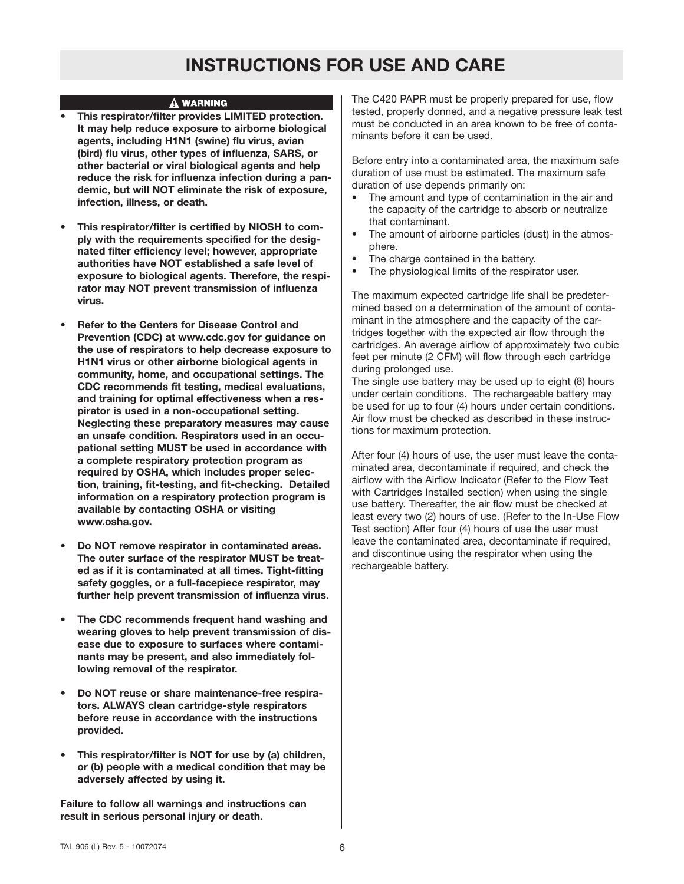# **INSTRUCTIONS FOR USE AND CARE**

#### A WARNING

- **• This respirator/filter provides LIMITED protection. It may help reduce exposure to airborne biological agents, including H1N1 (swine) flu virus, avian (bird) flu virus, other types of influenza, SARS, or other bacterial or viral biological agents and help reduce the risk for influenza infection during a pandemic, but will NOT eliminate the risk of exposure, infection, illness, or death.**
- **• This respirator/filter is certified by NIOSH to comply with the requirements specified for the designated filter efficiency level; however, appropriate authorities have NOT established a safe level of exposure to biological agents. Therefore, the respirator may NOT prevent transmission of influenza virus.**
- **• Refer to the Centers for Disease Control and Prevention (CDC) at www.cdc.gov for guidance on the use of respirators to help decrease exposure to H1N1 virus or other airborne biological agents in community, home, and occupational settings. The CDC recommends fit testing, medical evaluations, and training for optimal effectiveness when a respirator is used in a non-occupational setting. Neglecting these preparatory measures may cause an unsafe condition. Respirators used in an occupational setting MUST be used in accordance with a complete respiratory protection program as required by OSHA, which includes proper selection, training, fit-testing, and fit-checking. Detailed information on a respiratory protection program is available by contacting OSHA or visiting www.osha.gov.**
- **• Do NOT remove respirator in contaminated areas. The outer surface of the respirator MUST be treated as if it is contaminated at all times. Tight-fitting safety goggles, or a full-facepiece respirator, may further help prevent transmission of influenza virus.**
- **• The CDC recommends frequent hand washing and wearing gloves to help prevent transmission of disease due to exposure to surfaces where contaminants may be present, and also immediately following removal of the respirator.**
- **• Do NOT reuse or share maintenance-free respirators. ALWAYS clean cartridge-style respirators before reuse in accordance with the instructions provided.**
- **• This respirator/filter is NOT for use by (a) children, or (b) people with a medical condition that may be adversely affected by using it.**

**Failure to follow all warnings and instructions can result in serious personal injury or death.**

The C420 PAPR must be properly prepared for use, flow tested, properly donned, and a negative pressure leak test must be conducted in an area known to be free of contaminants before it can be used.

Before entry into a contaminated area, the maximum safe duration of use must be estimated. The maximum safe duration of use depends primarily on:

- The amount and type of contamination in the air and the capacity of the cartridge to absorb or neutralize that contaminant.
- The amount of airborne particles (dust) in the atmosphere.
- The charge contained in the battery.
- The physiological limits of the respirator user.

The maximum expected cartridge life shall be predetermined based on a determination of the amount of contaminant in the atmosphere and the capacity of the cartridges together with the expected air flow through the cartridges. An average airflow of approximately two cubic feet per minute (2 CFM) will flow through each cartridge during prolonged use.

The single use battery may be used up to eight (8) hours under certain conditions. The rechargeable battery may be used for up to four (4) hours under certain conditions. Air flow must be checked as described in these instructions for maximum protection.

After four (4) hours of use, the user must leave the contaminated area, decontaminate if required, and check the airflow with the Airflow Indicator (Refer to the Flow Test with Cartridges Installed section) when using the single use battery. Thereafter, the air flow must be checked at least every two (2) hours of use. (Refer to the In-Use Flow Test section) After four (4) hours of use the user must leave the contaminated area, decontaminate if required, and discontinue using the respirator when using the rechargeable battery.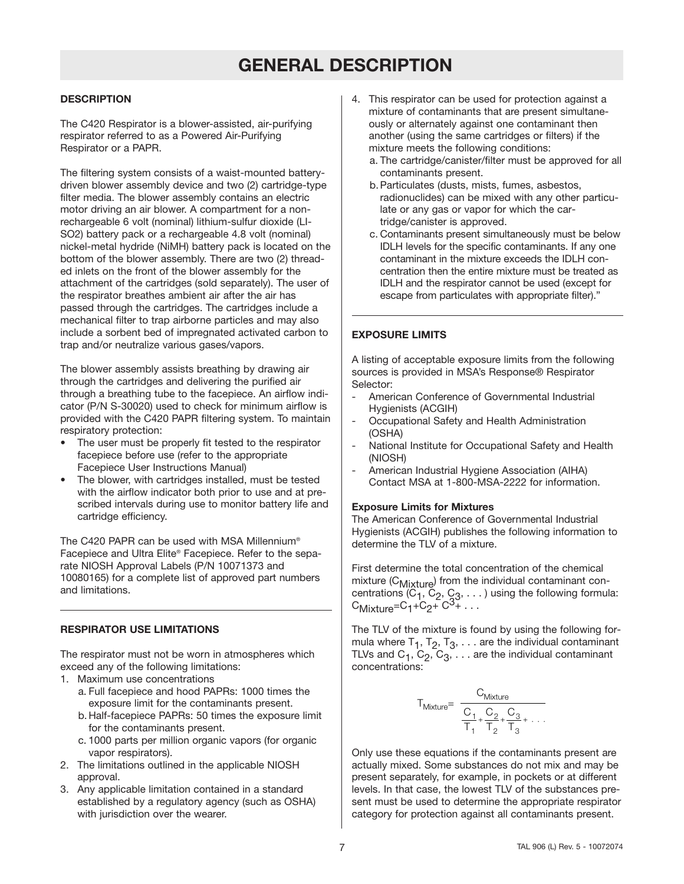# **GENERAL DESCRIPTION**

# **DESCRIPTION**

The C420 Respirator is a blower-assisted, air-purifying respirator referred to as a Powered Air-Purifying Respirator or a PAPR.

The filtering system consists of a waist-mounted batterydriven blower assembly device and two (2) cartridge-type filter media. The blower assembly contains an electric motor driving an air blower. A compartment for a nonrechargeable 6 volt (nominal) lithium-sulfur dioxide (LI-SO2) battery pack or a rechargeable 4.8 volt (nominal) nickel-metal hydride (NiMH) battery pack is located on the bottom of the blower assembly. There are two (2) threaded inlets on the front of the blower assembly for the attachment of the cartridges (sold separately). The user of the respirator breathes ambient air after the air has passed through the cartridges. The cartridges include a mechanical filter to trap airborne particles and may also include a sorbent bed of impregnated activated carbon to trap and/or neutralize various gases/vapors.

The blower assembly assists breathing by drawing air through the cartridges and delivering the purified air through a breathing tube to the facepiece. An airflow indicator (P/N S-30020) used to check for minimum airflow is provided with the C420 PAPR filtering system. To maintain respiratory protection:

- The user must be properly fit tested to the respirator facepiece before use (refer to the appropriate Facepiece User Instructions Manual)
- The blower, with cartridges installed, must be tested with the airflow indicator both prior to use and at prescribed intervals during use to monitor battery life and cartridge efficiency.

The C420 PAPR can be used with MSA Millennium® Facepiece and Ultra Elite® Facepiece. Refer to the separate NIOSH Approval Labels (P/N 10071373 and 10080165) for a complete list of approved part numbers and limitations.

# **RESPIRATOR USE LIMITATIONS**

The respirator must not be worn in atmospheres which exceed any of the following limitations:

- 1. Maximum use concentrations a. Full facepiece and hood PAPRs: 1000 times the exposure limit for the contaminants present.
	- b.Half-facepiece PAPRs: 50 times the exposure limit for the contaminants present.
	- c. 1000 parts per million organic vapors (for organic vapor respirators).
- 2. The limitations outlined in the applicable NIOSH approval.
- 3. Any applicable limitation contained in a standard established by a regulatory agency (such as OSHA) with jurisdiction over the wearer.
- 4. This respirator can be used for protection against a mixture of contaminants that are present simultaneously or alternately against one contaminant then another (using the same cartridges or filters) if the mixture meets the following conditions:
	- a. The cartridge/canister/filter must be approved for all contaminants present.
	- b.Particulates (dusts, mists, fumes, asbestos, radionuclides) can be mixed with any other particulate or any gas or vapor for which the cartridge/canister is approved.
	- c. Contaminants present simultaneously must be below IDLH levels for the specific contaminants. If any one contaminant in the mixture exceeds the IDLH concentration then the entire mixture must be treated as IDLH and the respirator cannot be used (except for escape from particulates with appropriate filter)."

# **EXPOSURE LIMITS**

A listing of acceptable exposure limits from the following sources is provided in MSA's Response® Respirator Selector:

- American Conference of Governmental Industrial Hygienists (ACGIH)
- Occupational Safety and Health Administration (OSHA)
- National Institute for Occupational Safety and Health (NIOSH)
- American Industrial Hygiene Association (AIHA) Contact MSA at 1-800-MSA-2222 for information.

### **Exposure Limits for Mixtures**

The American Conference of Governmental Industrial Hygienists (ACGIH) publishes the following information to determine the TLV of a mixture.

First determine the total concentration of the chemical mixture  $(C_M$ <sub>ixture</sub>) from the individual contaminant concentrations (C<sub>1</sub>, C<sub>2</sub>, C<sub>3</sub>, . . . ) using the following formula:<br>C<sub>Mixture</sub>=C<sub>1</sub>+C<sub>2</sub>+ C<sup>3</sup>+ . . .

The TLV of the mixture is found by using the following formula where  $T_1$ ,  $T_2$ ,  $T_3$ ,  $\ldots$  are the individual contaminant TLVs and  $C_1$ ,  $C_2$ ,  $C_3$ ,  $\ldots$  are the individual contaminant concentrations: und by using t<br>
are the individue<br>
re the individue<br>  $-\frac{C_2}{T_2} + \frac{C_3}{T_3} + \cdots$ 

$$
T_{Mixture} = \frac{C_{Mixture}}{\frac{C_1}{T_1} + \frac{C_2}{T_2} + \frac{C_3}{T_3} + \dots}
$$

Only use these equations if the contaminants present are actually mixed. Some substances do not mix and may be present separately, for example, in pockets or at different levels. In that case, the lowest TLV of the substances present must be used to determine the appropriate respirator category for protection against all contaminants present.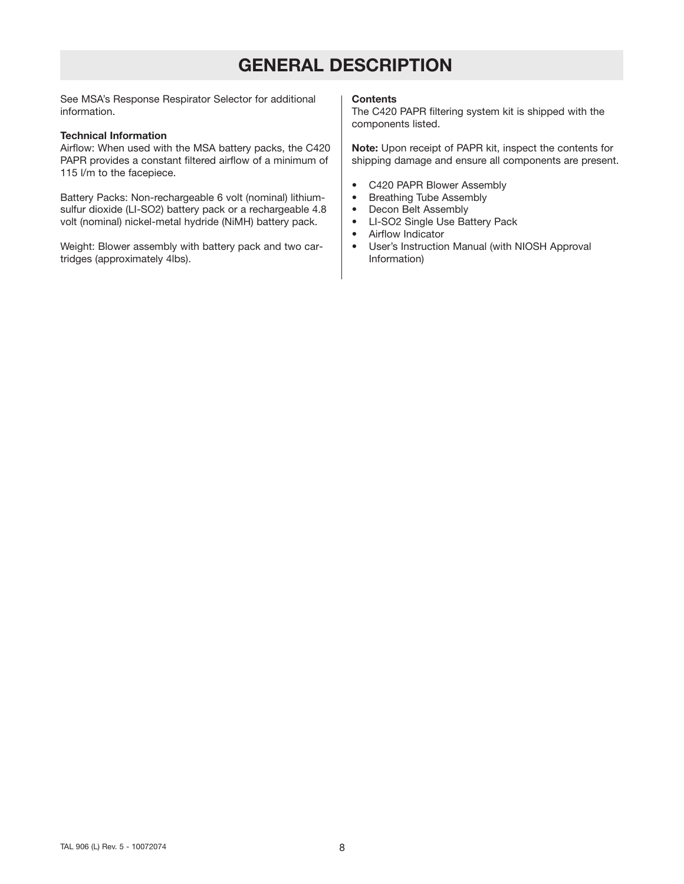# **GENERAL DESCRIPTION**

See MSA's Response Respirator Selector for additional information.

### **Technical Information**

Airflow: When used with the MSA battery packs, the C420 PAPR provides a constant filtered airflow of a minimum of 115 l/m to the facepiece.

Battery Packs: Non-rechargeable 6 volt (nominal) lithiumsulfur dioxide (LI-SO2) battery pack or a rechargeable 4.8 volt (nominal) nickel-metal hydride (NiMH) battery pack.

Weight: Blower assembly with battery pack and two cartridges (approximately 4lbs).

#### **Contents**

The C420 PAPR filtering system kit is shipped with the components listed.

**Note:** Upon receipt of PAPR kit, inspect the contents for shipping damage and ensure all components are present.

- C420 PAPR Blower Assembly
- Breathing Tube Assembly
- Decon Belt Assembly
- LI-SO2 Single Use Battery Pack
- Airflow Indicator
- User's Instruction Manual (with NIOSH Approval Information)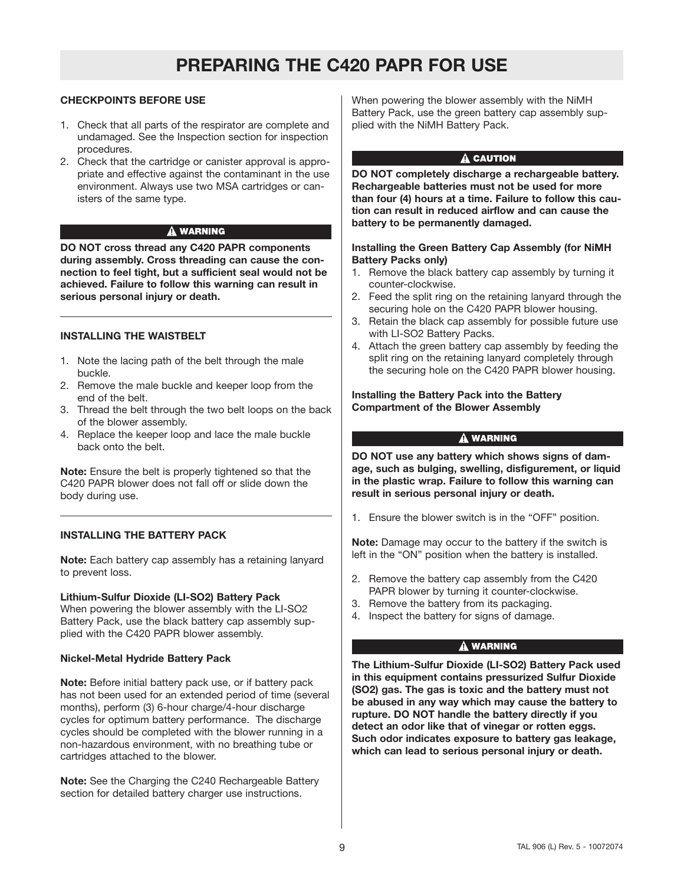### **CHECKPOINTS BEFORE USE**

- 1. Check that all parts of the respirator are complete and undamaged. See the Inspection section for inspection procedures.
- 2. Check that the cartridge or canister approval is appropriate and effective against the contaminant in the use environment. Always use two MSA cartridges or canisters of the same type.

### A WARNING

**DO NOT cross thread any C420 PAPR components during assembly. Cross threading can cause the connection to feel tight, but a sufficient seal would not be achieved. Failure to follow this warning can result in serious personal injury or death.**

### **INSTALLING THE WAISTBELT**

- 1. Note the lacing path of the belt through the male buckle.
- 2. Remove the male buckle and keeper loop from the end of the belt.
- 3. Thread the belt through the two belt loops on the back of the blower assembly.
- 4. Replace the keeper loop and lace the male buckle back onto the belt.

**Note:** Ensure the belt is properly tightened so that the C420 PAPR blower does not fall off or slide down the body during use.

# **INSTALLING THE BATTERY PACK**

**Note:** Each battery cap assembly has a retaining lanyard to prevent loss.

### **Lithium-Sulfur Dioxide (LI-SO2) Battery Pack**

When powering the blower assembly with the LI-SO2 Battery Pack, use the black battery cap assembly supplied with the C420 PAPR blower assembly.

### **Nickel-Metal Hydride Battery Pack**

**Note:** Before initial battery pack use, or if battery pack has not been used for an extended period of time (several months), perform (3) 6-hour charge/4-hour discharge cycles for optimum battery performance. The discharge cycles should be completed with the blower running in a non-hazardous environment, with no breathing tube or cartridges attached to the blower.

**Note:** See the Charging the C240 Rechargeable Battery section for detailed battery charger use instructions.

When powering the blower assembly with the NiMH Battery Pack, use the green battery cap assembly supplied with the NiMH Battery Pack.

### A CAUTION

**DO NOT completely discharge a rechargeable battery. Rechargeable batteries must not be used for more than four (4) hours at a time. Failure to follow this caution can result in reduced airflow and can cause the battery to be permanently damaged.**

#### **Installing the Green Battery Cap Assembly (for NiMH Battery Packs only)**

- 1. Remove the black battery cap assembly by turning it counter-clockwise.
- 2. Feed the split ring on the retaining lanyard through the securing hole on the C420 PAPR blower housing.
- 3. Retain the black cap assembly for possible future use with LI-SO2 Battery Packs.
- 4. Attach the green battery cap assembly by feeding the split ring on the retaining lanyard completely through the securing hole on the C420 PAPR blower housing.

### **Installing the Battery Pack into the Battery Compartment of the Blower Assembly**

# A WARNING

**DO NOT use any battery which shows signs of damage, such as bulging, swelling, disfigurement, or liquid in the plastic wrap. Failure to follow this warning can result in serious personal injury or death.**

1. Ensure the blower switch is in the "OFF" position.

**Note:** Damage may occur to the battery if the switch is left in the "ON" position when the battery is installed.

- 2. Remove the battery cap assembly from the C420 PAPR blower by turning it counter-clockwise.
- 3. Remove the battery from its packaging.
- 4. Inspect the battery for signs of damage.

# A WARNING

**The Lithium-Sulfur Dioxide (LI-SO2) Battery Pack used in this equipment contains pressurized Sulfur Dioxide (SO2) gas. The gas is toxic and the battery must not be abused in any way which may cause the battery to rupture. DO NOT handle the battery directly if you detect an odor like that of vinegar or rotten eggs. Such odor indicates exposure to battery gas leakage, which can lead to serious personal injury or death.**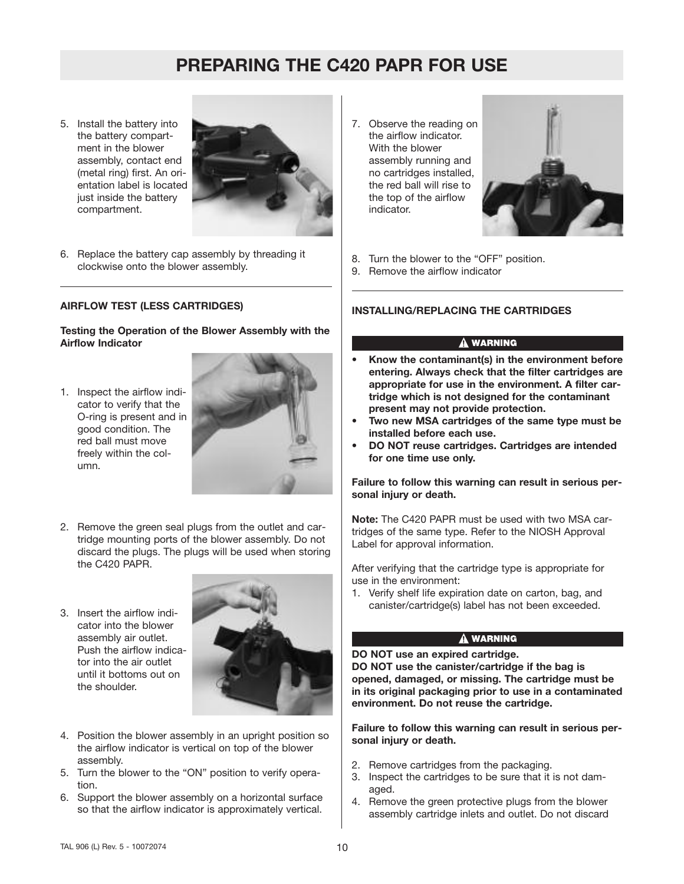5. Install the battery into the battery compartment in the blower assembly, contact end (metal ring) first. An orientation label is located just inside the battery compartment.



6. Replace the battery cap assembly by threading it clockwise onto the blower assembly.

# **AIRFLOW TEST (LESS CARTRIDGES)**

**Testing the Operation of the Blower Assembly with the Airflow Indicator**

1. Inspect the airflow indicator to verify that the O-ring is present and in good condition. The red ball must move freely within the column.



- 2. Remove the green seal plugs from the outlet and cartridge mounting ports of the blower assembly. Do not discard the plugs. The plugs will be used when storing the C420 PAPR.
- 3. Insert the airflow indicator into the blower assembly air outlet. Push the airflow indicator into the air outlet until it bottoms out on the shoulder.



- 4. Position the blower assembly in an upright position so the airflow indicator is vertical on top of the blower assembly.
- 5. Turn the blower to the "ON" position to verify operation.
- 6. Support the blower assembly on a horizontal surface so that the airflow indicator is approximately vertical.

7. Observe the reading on the airflow indicator. With the blower assembly running and no cartridges installed, the red ball will rise to the top of the airflow indicator.



- 8. Turn the blower to the "OFF" position.
- 9. Remove the airflow indicator

### **INSTALLING/REPLACING THE CARTRIDGES**

### **A WARNING**

- **• Know the contaminant(s) in the environment before entering. Always check that the filter cartridges are appropriate for use in the environment. A filter cartridge which is not designed for the contaminant present may not provide protection.**
- **• Two new MSA cartridges of the same type must be installed before each use.**
- **• DO NOT reuse cartridges. Cartridges are intended for one time use only.**

**Failure to follow this warning can result in serious personal injury or death.**

**Note:** The C420 PAPR must be used with two MSA cartridges of the same type. Refer to the NIOSH Approval Label for approval information.

After verifying that the cartridge type is appropriate for use in the environment:

1. Verify shelf life expiration date on carton, bag, and canister/cartridge(s) label has not been exceeded.

# **A WARNING**

**DO NOT use an expired cartridge.**

**DO NOT use the canister/cartridge if the bag is opened, damaged, or missing. The cartridge must be in its original packaging prior to use in a contaminated environment. Do not reuse the cartridge.**

**Failure to follow this warning can result in serious personal injury or death.**

- 2. Remove cartridges from the packaging.
- 3. Inspect the cartridges to be sure that it is not damaged.
- 4. Remove the green protective plugs from the blower assembly cartridge inlets and outlet. Do not discard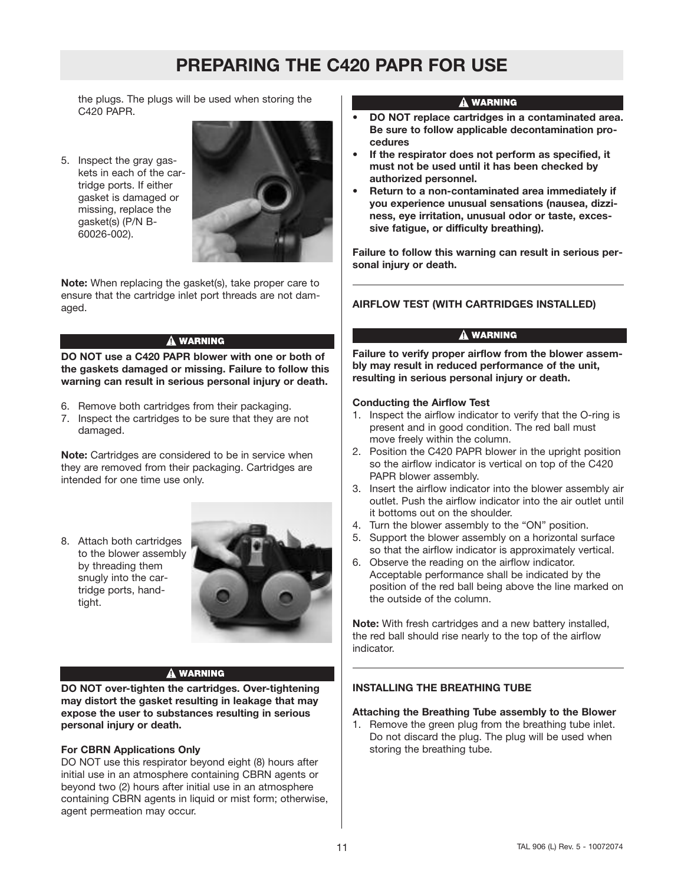the plugs. The plugs will be used when storing the C420 PAPR.

5. Inspect the gray gaskets in each of the cartridge ports. If either gasket is damaged or missing, replace the gasket(s) (P/N B-60026-002).



**Note:** When replacing the gasket(s), take proper care to ensure that the cartridge inlet port threads are not damaged.

# **A WARNING**

**DO NOT use a C420 PAPR blower with one or both of the gaskets damaged or missing. Failure to follow this warning can result in serious personal injury or death.**

- 6. Remove both cartridges from their packaging.
- 7. Inspect the cartridges to be sure that they are not damaged.

**Note:** Cartridges are considered to be in service when they are removed from their packaging. Cartridges are intended for one time use only.

8. Attach both cartridges to the blower assembly by threading them snugly into the cartridge ports, handtight.



# A WARNING

**DO NOT over-tighten the cartridges. Over-tightening may distort the gasket resulting in leakage that may expose the user to substances resulting in serious personal injury or death.**

# **For CBRN Applications Only**

DO NOT use this respirator beyond eight (8) hours after initial use in an atmosphere containing CBRN agents or beyond two (2) hours after initial use in an atmosphere containing CBRN agents in liquid or mist form; otherwise, agent permeation may occur.

# A WARNING

- **• DO NOT replace cartridges in a contaminated area. Be sure to follow applicable decontamination procedures**
- **• If the respirator does not perform as specified, it must not be used until it has been checked by authorized personnel.**
- **• Return to a non-contaminated area immediately if you experience unusual sensations (nausea, dizziness, eye irritation, unusual odor or taste, excessive fatigue, or difficulty breathing).**

**Failure to follow this warning can result in serious personal injury or death.**

# **AIRFLOW TEST (WITH CARTRIDGES INSTALLED)**

# A WARNING

**Failure to verify proper airflow from the blower assembly may result in reduced performance of the unit, resulting in serious personal injury or death.**

# **Conducting the Airflow Test**

- 1. Inspect the airflow indicator to verify that the O-ring is present and in good condition. The red ball must move freely within the column.
- 2. Position the C420 PAPR blower in the upright position so the airflow indicator is vertical on top of the C420 PAPR blower assembly.
- 3. Insert the airflow indicator into the blower assembly air outlet. Push the airflow indicator into the air outlet until it bottoms out on the shoulder.
- 4. Turn the blower assembly to the "ON" position.
- 5. Support the blower assembly on a horizontal surface so that the airflow indicator is approximately vertical.
- 6. Observe the reading on the airflow indicator. Acceptable performance shall be indicated by the position of the red ball being above the line marked on the outside of the column.

**Note:** With fresh cartridges and a new battery installed, the red ball should rise nearly to the top of the airflow indicator.

# **INSTALLING THE BREATHING TUBE**

# **Attaching the Breathing Tube assembly to the Blower**

1. Remove the green plug from the breathing tube inlet. Do not discard the plug. The plug will be used when storing the breathing tube.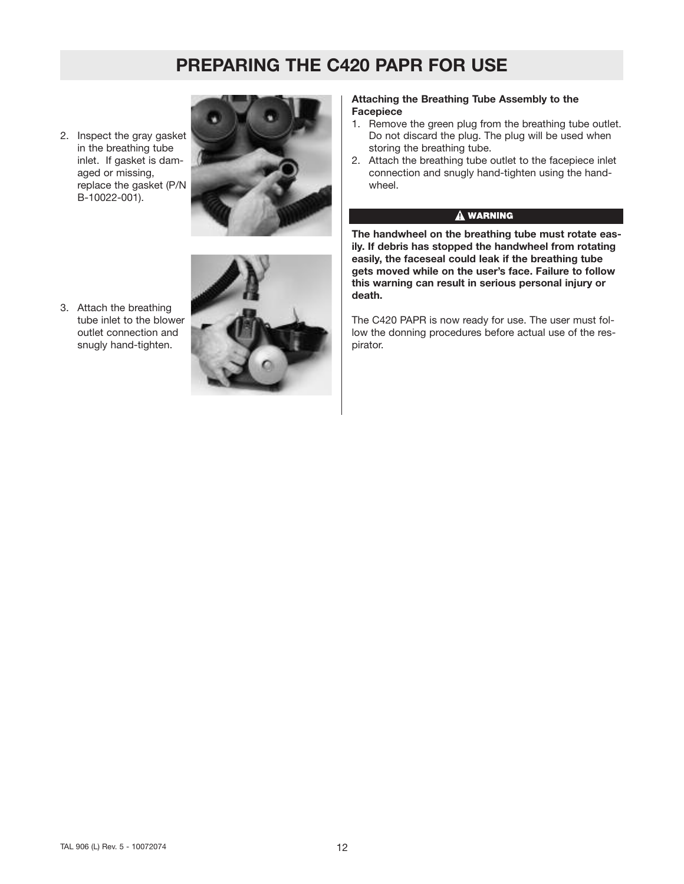2. Inspect the gray gasket in the breathing tube inlet. If gasket is damaged or missing, replace the gasket (P/N B-10022-001).



3. Attach the breathing tube inlet to the blower outlet connection and snugly hand-tighten.



#### **Attaching the Breathing Tube Assembly to the Facepiece**

- 1. Remove the green plug from the breathing tube outlet. Do not discard the plug. The plug will be used when storing the breathing tube.
- 2. Attach the breathing tube outlet to the facepiece inlet connection and snugly hand-tighten using the handwheel.

# A WARNING

**The handwheel on the breathing tube must rotate easily. If debris has stopped the handwheel from rotating easily, the faceseal could leak if the breathing tube gets moved while on the user's face. Failure to follow this warning can result in serious personal injury or death.**

The C420 PAPR is now ready for use. The user must follow the donning procedures before actual use of the respirator.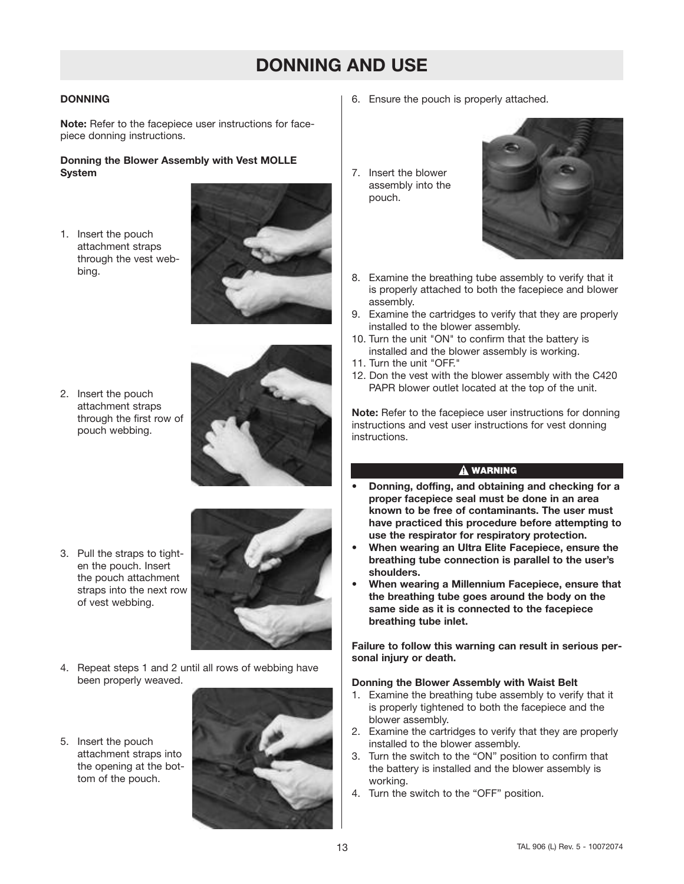# **DONNING AND USE**

# **DONNING**

**Note:** Refer to the facepiece user instructions for facepiece donning instructions.

### **Donning the Blower Assembly with Vest MOLLE System**

1. Insert the pouch attachment straps through the vest webbing.



2. Insert the pouch attachment straps through the first row of pouch webbing.



3. Pull the straps to tighten the pouch. Insert the pouch attachment straps into the next row of vest webbing.



- 4. Repeat steps 1 and 2 until all rows of webbing have been properly weaved.
- 5. Insert the pouch attachment straps into the opening at the bottom of the pouch.



- 6. Ensure the pouch is properly attached.
- 7. Insert the blower assembly into the pouch.



- 8. Examine the breathing tube assembly to verify that it is properly attached to both the facepiece and blower assembly.
- 9. Examine the cartridges to verify that they are properly installed to the blower assembly.
- 10. Turn the unit "ON" to confirm that the battery is installed and the blower assembly is working.
- 11. Turn the unit "OFF."
- 12. Don the vest with the blower assembly with the C420 PAPR blower outlet located at the top of the unit.

**Note:** Refer to the facepiece user instructions for donning instructions and vest user instructions for vest donning instructions.

# A WARNING

- **• Donning, doffing, and obtaining and checking for a proper facepiece seal must be done in an area known to be free of contaminants. The user must have practiced this procedure before attempting to use the respirator for respiratory protection.**
- **• When wearing an Ultra Elite Facepiece, ensure the breathing tube connection is parallel to the user's shoulders.**
- **• When wearing a Millennium Facepiece, ensure that the breathing tube goes around the body on the same side as it is connected to the facepiece breathing tube inlet.**

**Failure to follow this warning can result in serious personal injury or death.**

### **Donning the Blower Assembly with Waist Belt**

- 1. Examine the breathing tube assembly to verify that it is properly tightened to both the facepiece and the blower assembly.
- 2. Examine the cartridges to verify that they are properly installed to the blower assembly.
- 3. Turn the switch to the "ON" position to confirm that the battery is installed and the blower assembly is working.
- 4. Turn the switch to the "OFF" position.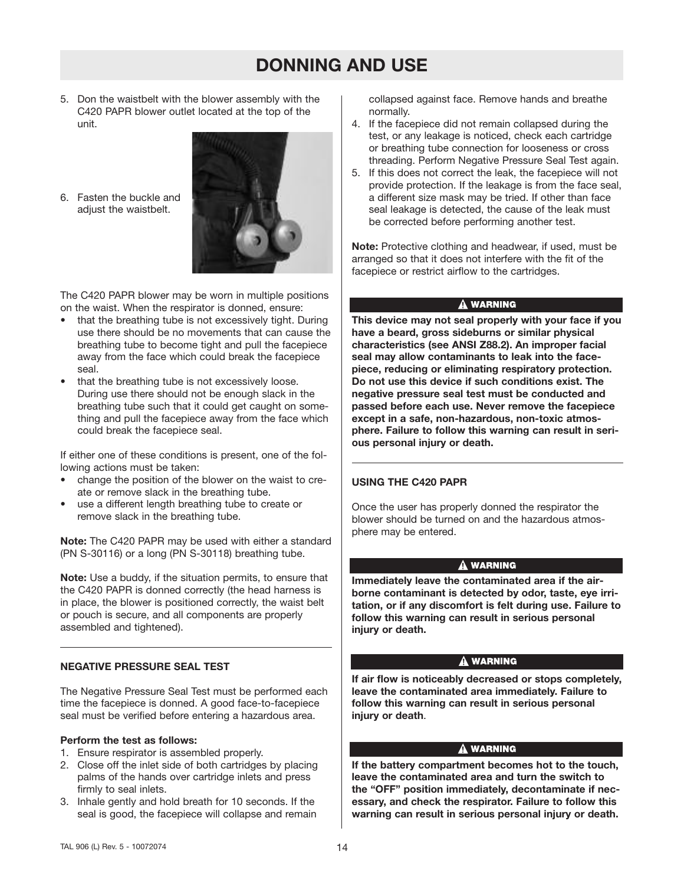# **DONNING AND USE**

5. Don the waistbelt with the blower assembly with the C420 PAPR blower outlet located at the top of the unit.

6. Fasten the buckle and adjust the waistbelt.



The C420 PAPR blower may be worn in multiple positions on the waist. When the respirator is donned, ensure:

- that the breathing tube is not excessively tight. During use there should be no movements that can cause the breathing tube to become tight and pull the facepiece away from the face which could break the facepiece seal.
- that the breathing tube is not excessively loose. During use there should not be enough slack in the breathing tube such that it could get caught on something and pull the facepiece away from the face which could break the facepiece seal.

If either one of these conditions is present, one of the following actions must be taken:

- change the position of the blower on the waist to create or remove slack in the breathing tube.
- use a different length breathing tube to create or remove slack in the breathing tube.

**Note:** The C420 PAPR may be used with either a standard (PN S-30116) or a long (PN S-30118) breathing tube.

**Note:** Use a buddy, if the situation permits, to ensure that the C420 PAPR is donned correctly (the head harness is in place, the blower is positioned correctly, the waist belt or pouch is secure, and all components are properly assembled and tightened).

### **NEGATIVE PRESSURE SEAL TEST**

The Negative Pressure Seal Test must be performed each time the facepiece is donned. A good face-to-facepiece seal must be verified before entering a hazardous area.

#### **Perform the test as follows:**

- 1. Ensure respirator is assembled properly.
- 2. Close off the inlet side of both cartridges by placing palms of the hands over cartridge inlets and press firmly to seal inlets.
- 3. Inhale gently and hold breath for 10 seconds. If the seal is good, the facepiece will collapse and remain

collapsed against face. Remove hands and breathe normally.

- 4. If the facepiece did not remain collapsed during the test, or any leakage is noticed, check each cartridge or breathing tube connection for looseness or cross threading. Perform Negative Pressure Seal Test again.
- 5. If this does not correct the leak, the facepiece will not provide protection. If the leakage is from the face seal, a different size mask may be tried. If other than face seal leakage is detected, the cause of the leak must be corrected before performing another test.

**Note:** Protective clothing and headwear, if used, must be arranged so that it does not interfere with the fit of the facepiece or restrict airflow to the cartridges.

### A WARNING

**This device may not seal properly with your face if you have a beard, gross sideburns or similar physical characteristics (see ANSI Z88.2). An improper facial seal may allow contaminants to leak into the facepiece, reducing or eliminating respiratory protection. Do not use this device if such conditions exist. The negative pressure seal test must be conducted and passed before each use. Never remove the facepiece except in a safe, non-hazardous, non-toxic atmosphere. Failure to follow this warning can result in serious personal injury or death.**

# **USING THE C420 PAPR**

Once the user has properly donned the respirator the blower should be turned on and the hazardous atmosphere may be entered.

### A WARNING

**Immediately leave the contaminated area if the airborne contaminant is detected by odor, taste, eye irritation, or if any discomfort is felt during use. Failure to follow this warning can result in serious personal injury or death.**

### A WARNING

**If air flow is noticeably decreased or stops completely, leave the contaminated area immediately. Failure to follow this warning can result in serious personal injury or death**.

### A WARNING

**If the battery compartment becomes hot to the touch, leave the contaminated area and turn the switch to the "OFF" position immediately, decontaminate if necessary, and check the respirator. Failure to follow this warning can result in serious personal injury or death.**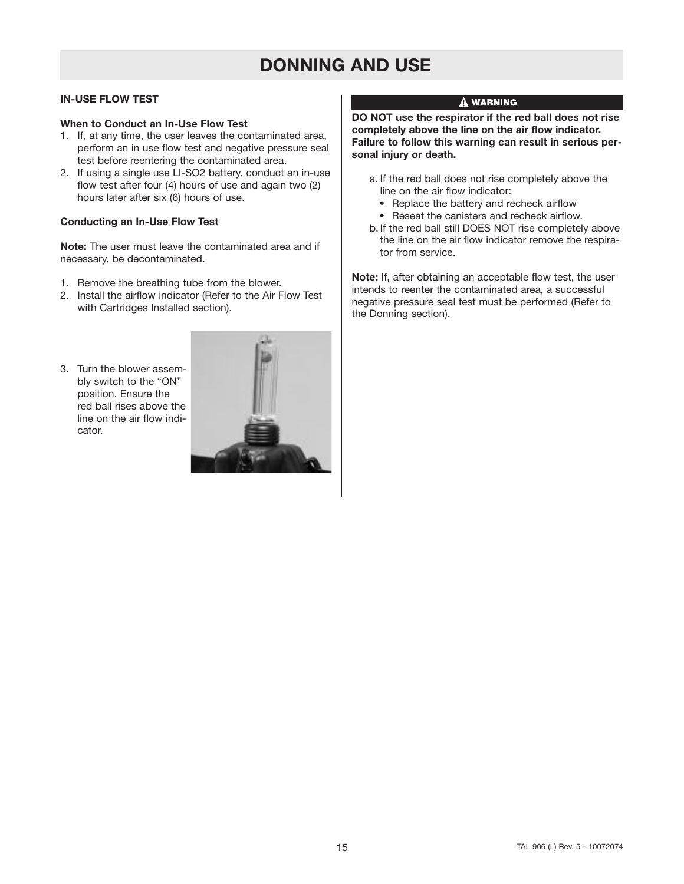# **DONNING AND USE**

# **IN-USE FLOW TEST**

### **When to Conduct an In-Use Flow Test**

- 1. If, at any time, the user leaves the contaminated area, perform an in use flow test and negative pressure seal test before reentering the contaminated area.
- 2. If using a single use LI-SO2 battery, conduct an in-use flow test after four (4) hours of use and again two (2) hours later after six (6) hours of use.

### **Conducting an In-Use Flow Test**

**Note:** The user must leave the contaminated area and if necessary, be decontaminated.

- 1. Remove the breathing tube from the blower.
- 2. Install the airflow indicator (Refer to the Air Flow Test with Cartridges Installed section).
- 3. Turn the blower assembly switch to the "ON" position. Ensure the red ball rises above the line on the air flow indicator.



### $\hat{\mathbf{A}}$  warning

**DO NOT use the respirator if the red ball does not rise completely above the line on the air flow indicator. Failure to follow this warning can result in serious personal injury or death.**

- a. If the red ball does not rise completely above the line on the air flow indicator:
	- Replace the battery and recheck airflow
	- Reseat the canisters and recheck airflow.
- b. If the red ball still DOES NOT rise completely above the line on the air flow indicator remove the respirator from service.

**Note:** If, after obtaining an acceptable flow test, the user intends to reenter the contaminated area, a successful negative pressure seal test must be performed (Refer to the Donning section).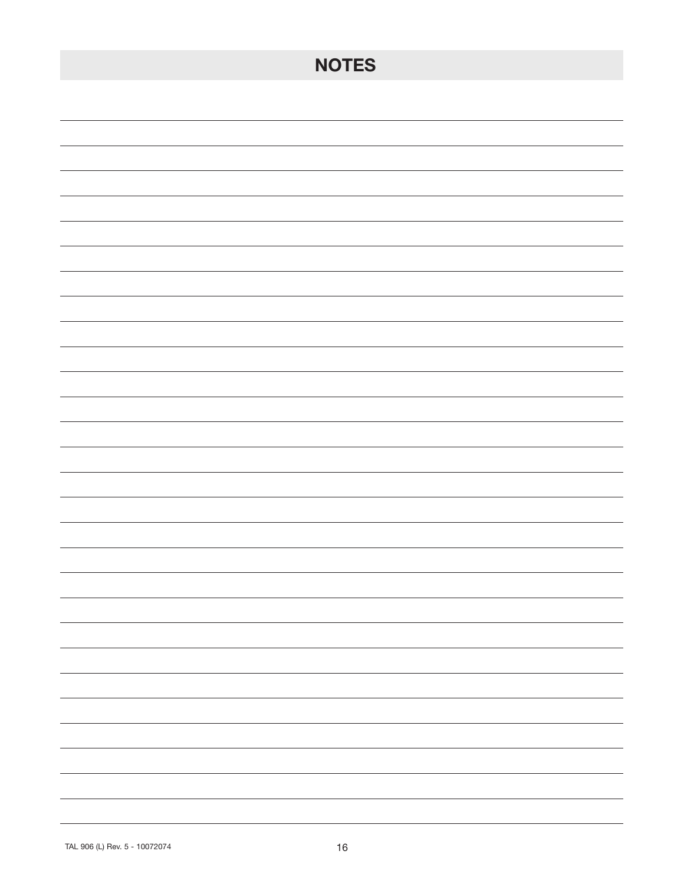| <b>NOTES</b>                                                                                                                                                                                                                                                                                                                                                                                                                                                               |
|----------------------------------------------------------------------------------------------------------------------------------------------------------------------------------------------------------------------------------------------------------------------------------------------------------------------------------------------------------------------------------------------------------------------------------------------------------------------------|
|                                                                                                                                                                                                                                                                                                                                                                                                                                                                            |
|                                                                                                                                                                                                                                                                                                                                                                                                                                                                            |
|                                                                                                                                                                                                                                                                                                                                                                                                                                                                            |
|                                                                                                                                                                                                                                                                                                                                                                                                                                                                            |
|                                                                                                                                                                                                                                                                                                                                                                                                                                                                            |
|                                                                                                                                                                                                                                                                                                                                                                                                                                                                            |
|                                                                                                                                                                                                                                                                                                                                                                                                                                                                            |
|                                                                                                                                                                                                                                                                                                                                                                                                                                                                            |
|                                                                                                                                                                                                                                                                                                                                                                                                                                                                            |
|                                                                                                                                                                                                                                                                                                                                                                                                                                                                            |
|                                                                                                                                                                                                                                                                                                                                                                                                                                                                            |
|                                                                                                                                                                                                                                                                                                                                                                                                                                                                            |
|                                                                                                                                                                                                                                                                                                                                                                                                                                                                            |
|                                                                                                                                                                                                                                                                                                                                                                                                                                                                            |
|                                                                                                                                                                                                                                                                                                                                                                                                                                                                            |
|                                                                                                                                                                                                                                                                                                                                                                                                                                                                            |
| $\overline{\phantom{0}}$                                                                                                                                                                                                                                                                                                                                                                                                                                                   |
| $\overline{\phantom{0}}$                                                                                                                                                                                                                                                                                                                                                                                                                                                   |
| $\frac{1}{2} \left( \frac{1}{2} \right)^2 + \frac{1}{2} \left( \frac{1}{2} \right)^2 + \frac{1}{2} \left( \frac{1}{2} \right)^2 + \frac{1}{2} \left( \frac{1}{2} \right)^2 + \frac{1}{2} \left( \frac{1}{2} \right)^2 + \frac{1}{2} \left( \frac{1}{2} \right)^2 + \frac{1}{2} \left( \frac{1}{2} \right)^2 + \frac{1}{2} \left( \frac{1}{2} \right)^2 + \frac{1}{2} \left( \frac{1}{2} \right)^2 + \frac{1}{2} \left( \frac{1}{2} \right)^2 +$<br>$\sim$ 100 $\sim$       |
| $\frac{1}{2} \left( \frac{1}{2} \right) \left( \frac{1}{2} \right) \left( \frac{1}{2} \right) \left( \frac{1}{2} \right) \left( \frac{1}{2} \right) \left( \frac{1}{2} \right) \left( \frac{1}{2} \right) \left( \frac{1}{2} \right) \left( \frac{1}{2} \right) \left( \frac{1}{2} \right) \left( \frac{1}{2} \right) \left( \frac{1}{2} \right) \left( \frac{1}{2} \right) \left( \frac{1}{2} \right) \left( \frac{1}{2} \right) \left( \frac{1}{2} \right) \left( \frac$ |
|                                                                                                                                                                                                                                                                                                                                                                                                                                                                            |
| $\overline{\phantom{a}}$                                                                                                                                                                                                                                                                                                                                                                                                                                                   |
| -                                                                                                                                                                                                                                                                                                                                                                                                                                                                          |
| -                                                                                                                                                                                                                                                                                                                                                                                                                                                                          |
| Ξ.                                                                                                                                                                                                                                                                                                                                                                                                                                                                         |
|                                                                                                                                                                                                                                                                                                                                                                                                                                                                            |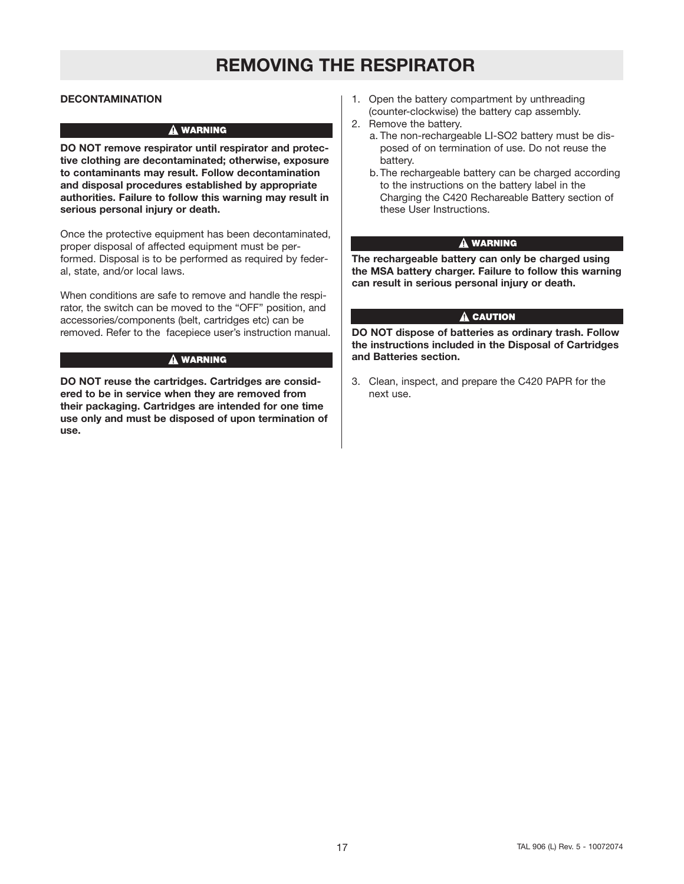# **REMOVING THE RESPIRATOR**

### **DECONTAMINATION**

#### **A WARNING**

**DO NOT remove respirator until respirator and protective clothing are decontaminated; otherwise, exposure to contaminants may result. Follow decontamination and disposal procedures established by appropriate authorities. Failure to follow this warning may result in serious personal injury or death.**

Once the protective equipment has been decontaminated, proper disposal of affected equipment must be performed. Disposal is to be performed as required by federal, state, and/or local laws.

When conditions are safe to remove and handle the respirator, the switch can be moved to the "OFF" position, and accessories/components (belt, cartridges etc) can be removed. Refer to the facepiece user's instruction manual.

#### A WARNING

**DO NOT reuse the cartridges. Cartridges are considered to be in service when they are removed from their packaging. Cartridges are intended for one time use only and must be disposed of upon termination of use.**

- 1. Open the battery compartment by unthreading (counter-clockwise) the battery cap assembly.
- 2. Remove the battery.
	- a. The non-rechargeable LI-SO2 battery must be disposed of on termination of use. Do not reuse the battery.
	- b.The rechargeable battery can be charged according to the instructions on the battery label in the Charging the C420 Rechareable Battery section of these User Instructions.

### **A WARNING**

**The rechargeable battery can only be charged using the MSA battery charger. Failure to follow this warning can result in serious personal injury or death.**

### $\triangle$  CAUTION

**DO NOT dispose of batteries as ordinary trash. Follow the instructions included in the Disposal of Cartridges and Batteries section.**

3. Clean, inspect, and prepare the C420 PAPR for the next use.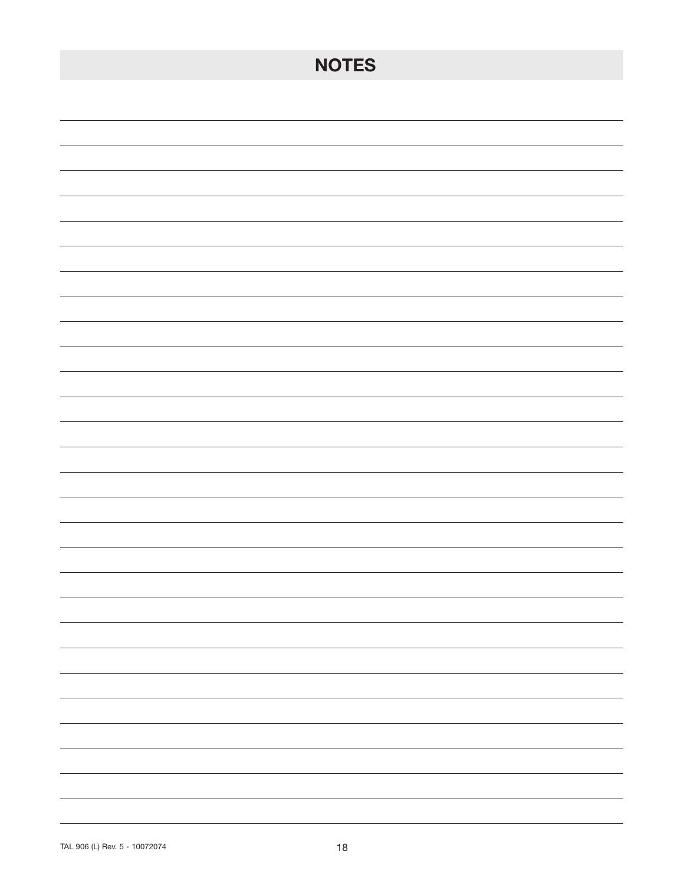| <b>NOTES</b>                                                                                                                                                                                                                                                                                                                                                                                                                                             |
|----------------------------------------------------------------------------------------------------------------------------------------------------------------------------------------------------------------------------------------------------------------------------------------------------------------------------------------------------------------------------------------------------------------------------------------------------------|
|                                                                                                                                                                                                                                                                                                                                                                                                                                                          |
|                                                                                                                                                                                                                                                                                                                                                                                                                                                          |
|                                                                                                                                                                                                                                                                                                                                                                                                                                                          |
|                                                                                                                                                                                                                                                                                                                                                                                                                                                          |
|                                                                                                                                                                                                                                                                                                                                                                                                                                                          |
|                                                                                                                                                                                                                                                                                                                                                                                                                                                          |
|                                                                                                                                                                                                                                                                                                                                                                                                                                                          |
|                                                                                                                                                                                                                                                                                                                                                                                                                                                          |
|                                                                                                                                                                                                                                                                                                                                                                                                                                                          |
|                                                                                                                                                                                                                                                                                                                                                                                                                                                          |
|                                                                                                                                                                                                                                                                                                                                                                                                                                                          |
|                                                                                                                                                                                                                                                                                                                                                                                                                                                          |
|                                                                                                                                                                                                                                                                                                                                                                                                                                                          |
|                                                                                                                                                                                                                                                                                                                                                                                                                                                          |
|                                                                                                                                                                                                                                                                                                                                                                                                                                                          |
|                                                                                                                                                                                                                                                                                                                                                                                                                                                          |
|                                                                                                                                                                                                                                                                                                                                                                                                                                                          |
| $\overline{\phantom{a}}$                                                                                                                                                                                                                                                                                                                                                                                                                                 |
| $\sim$ $\sim$                                                                                                                                                                                                                                                                                                                                                                                                                                            |
| $\sim$ 100 $\sim$<br>$\sim$ $\sim$                                                                                                                                                                                                                                                                                                                                                                                                                       |
| $\frac{1}{\sqrt{2\pi}}\left( \frac{1}{\sqrt{2\pi}}\right) \left( \frac{1}{\sqrt{2\pi}}\right) \left( \frac{1}{\sqrt{2\pi}}\right) \left( \frac{1}{\sqrt{2\pi}}\right) \left( \frac{1}{\sqrt{2\pi}}\right) \left( \frac{1}{\sqrt{2\pi}}\right) \left( \frac{1}{\sqrt{2\pi}}\right) \left( \frac{1}{\sqrt{2\pi}}\right) \left( \frac{1}{\sqrt{2\pi}}\right) \left( \frac{1}{\sqrt{2\pi}}\right) \left( \frac{1}{\sqrt{2\pi}}\right) \left( \frac{1}{\sqrt$ |
| $\sim$ $\sim$ $\sim$                                                                                                                                                                                                                                                                                                                                                                                                                                     |
| -                                                                                                                                                                                                                                                                                                                                                                                                                                                        |
| $\overline{\phantom{0}}$                                                                                                                                                                                                                                                                                                                                                                                                                                 |
| $\overline{\phantom{0}}$                                                                                                                                                                                                                                                                                                                                                                                                                                 |
| $\overline{\phantom{a}}$                                                                                                                                                                                                                                                                                                                                                                                                                                 |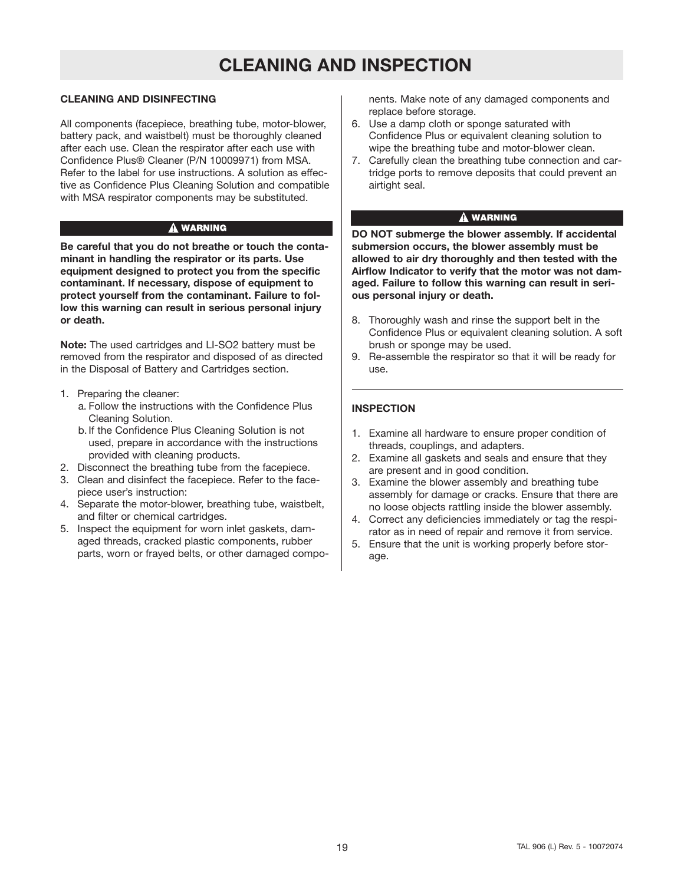# **CLEANING AND INSPECTION**

# **CLEANING AND DISINFECTING**

All components (facepiece, breathing tube, motor-blower, battery pack, and waistbelt) must be thoroughly cleaned after each use. Clean the respirator after each use with Confidence Plus® Cleaner (P/N 10009971) from MSA. Refer to the label for use instructions. A solution as effective as Confidence Plus Cleaning Solution and compatible with MSA respirator components may be substituted.

### A WARNING

**Be careful that you do not breathe or touch the contaminant in handling the respirator or its parts. Use equipment designed to protect you from the specific contaminant. If necessary, dispose of equipment to protect yourself from the contaminant. Failure to follow this warning can result in serious personal injury or death.**

**Note:** The used cartridges and LI-SO2 battery must be removed from the respirator and disposed of as directed in the Disposal of Battery and Cartridges section.

- 1. Preparing the cleaner:
	- a. Follow the instructions with the Confidence Plus Cleaning Solution.
	- b.If the Confidence Plus Cleaning Solution is not used, prepare in accordance with the instructions provided with cleaning products.
- 2. Disconnect the breathing tube from the facepiece.
- 3. Clean and disinfect the facepiece. Refer to the facepiece user's instruction:
- 4. Separate the motor-blower, breathing tube, waistbelt, and filter or chemical cartridges.
- 5. Inspect the equipment for worn inlet gaskets, damaged threads, cracked plastic components, rubber parts, worn or frayed belts, or other damaged compo-

nents. Make note of any damaged components and replace before storage.

- 6. Use a damp cloth or sponge saturated with Confidence Plus or equivalent cleaning solution to wipe the breathing tube and motor-blower clean.
- 7. Carefully clean the breathing tube connection and cartridge ports to remove deposits that could prevent an airtight seal.

### **A WARNING**

**DO NOT submerge the blower assembly. If accidental submersion occurs, the blower assembly must be allowed to air dry thoroughly and then tested with the Airflow Indicator to verify that the motor was not damaged. Failure to follow this warning can result in serious personal injury or death.**

- 8. Thoroughly wash and rinse the support belt in the Confidence Plus or equivalent cleaning solution. A soft brush or sponge may be used.
- 9. Re-assemble the respirator so that it will be ready for use.

# **INSPECTION**

- 1. Examine all hardware to ensure proper condition of threads, couplings, and adapters.
- 2. Examine all gaskets and seals and ensure that they are present and in good condition.
- 3. Examine the blower assembly and breathing tube assembly for damage or cracks. Ensure that there are no loose objects rattling inside the blower assembly.
- 4. Correct any deficiencies immediately or tag the respirator as in need of repair and remove it from service.
- 5. Ensure that the unit is working properly before storage.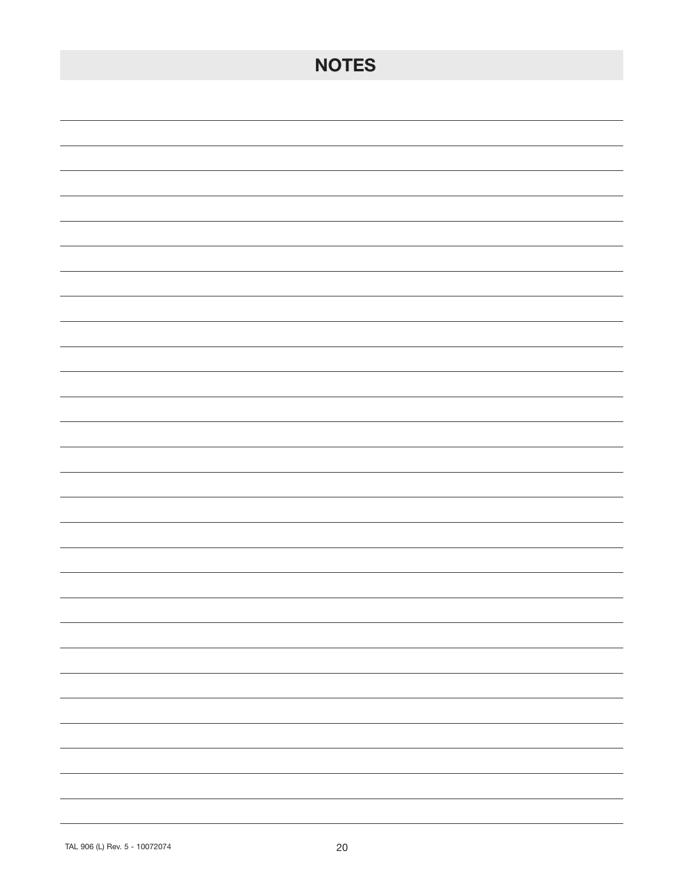| <b>NOTES</b>                                                                                                                                                                                                                                                                                                                                                                                                                                                                                |
|---------------------------------------------------------------------------------------------------------------------------------------------------------------------------------------------------------------------------------------------------------------------------------------------------------------------------------------------------------------------------------------------------------------------------------------------------------------------------------------------|
|                                                                                                                                                                                                                                                                                                                                                                                                                                                                                             |
|                                                                                                                                                                                                                                                                                                                                                                                                                                                                                             |
|                                                                                                                                                                                                                                                                                                                                                                                                                                                                                             |
|                                                                                                                                                                                                                                                                                                                                                                                                                                                                                             |
|                                                                                                                                                                                                                                                                                                                                                                                                                                                                                             |
|                                                                                                                                                                                                                                                                                                                                                                                                                                                                                             |
|                                                                                                                                                                                                                                                                                                                                                                                                                                                                                             |
|                                                                                                                                                                                                                                                                                                                                                                                                                                                                                             |
|                                                                                                                                                                                                                                                                                                                                                                                                                                                                                             |
|                                                                                                                                                                                                                                                                                                                                                                                                                                                                                             |
|                                                                                                                                                                                                                                                                                                                                                                                                                                                                                             |
|                                                                                                                                                                                                                                                                                                                                                                                                                                                                                             |
|                                                                                                                                                                                                                                                                                                                                                                                                                                                                                             |
|                                                                                                                                                                                                                                                                                                                                                                                                                                                                                             |
|                                                                                                                                                                                                                                                                                                                                                                                                                                                                                             |
|                                                                                                                                                                                                                                                                                                                                                                                                                                                                                             |
| the contract of the contract of                                                                                                                                                                                                                                                                                                                                                                                                                                                             |
| $\overline{\phantom{0}}$                                                                                                                                                                                                                                                                                                                                                                                                                                                                    |
|                                                                                                                                                                                                                                                                                                                                                                                                                                                                                             |
| $\sim$ 100 $\sim$                                                                                                                                                                                                                                                                                                                                                                                                                                                                           |
| $\sim$ $\sim$<br>$\frac{1}{2} \left( \frac{1}{2} \right) \left( \frac{1}{2} \right) \left( \frac{1}{2} \right) \left( \frac{1}{2} \right) \left( \frac{1}{2} \right) \left( \frac{1}{2} \right) \left( \frac{1}{2} \right) \left( \frac{1}{2} \right) \left( \frac{1}{2} \right) \left( \frac{1}{2} \right) \left( \frac{1}{2} \right) \left( \frac{1}{2} \right) \left( \frac{1}{2} \right) \left( \frac{1}{2} \right) \left( \frac{1}{2} \right) \left( \frac{1}{2} \right) \left( \frac$ |
| $\sim$ $\sim$ $\sim$ $\sim$                                                                                                                                                                                                                                                                                                                                                                                                                                                                 |
| -                                                                                                                                                                                                                                                                                                                                                                                                                                                                                           |
| $\overline{\phantom{0}}$                                                                                                                                                                                                                                                                                                                                                                                                                                                                    |
| $\overline{\phantom{0}}$                                                                                                                                                                                                                                                                                                                                                                                                                                                                    |
|                                                                                                                                                                                                                                                                                                                                                                                                                                                                                             |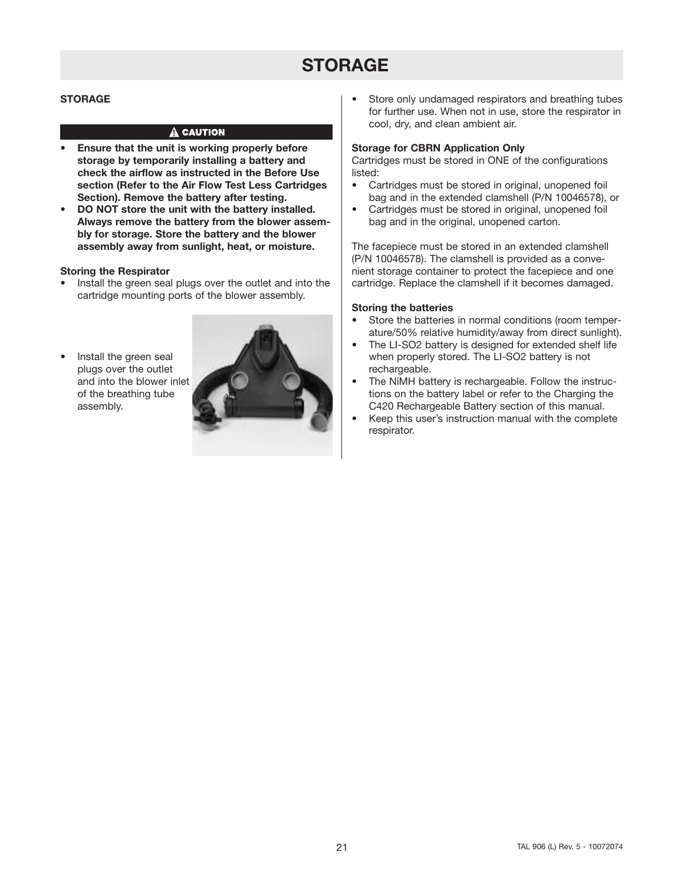# **STORAGE**

### **STORAGE**

### $\hat{\mathbf{A}}$  caution

- **• Ensure that the unit is working properly before storage by temporarily installing a battery and check the airflow as instructed in the Before Use section (Refer to the Air Flow Test Less Cartridges Section). Remove the battery after testing.**
- **• DO NOT store the unit with the battery installed. Always remove the battery from the blower assembly for storage. Store the battery and the blower assembly away from sunlight, heat, or moisture.**

### **Storing the Respirator**

- Install the green seal plugs over the outlet and into the cartridge mounting ports of the blower assembly.
- Install the green seal plugs over the outlet and into the blower inlet of the breathing tube assembly.



Store only undamaged respirators and breathing tubes for further use. When not in use, store the respirator in cool, dry, and clean ambient air.

### **Storage for CBRN Application Only**

Cartridges must be stored in ONE of the configurations listed:

- Cartridges must be stored in original, unopened foil bag and in the extended clamshell (P/N 10046578), or
- Cartridges must be stored in original, unopened foil bag and in the original, unopened carton.

The facepiece must be stored in an extended clamshell (P/N 10046578). The clamshell is provided as a convenient storage container to protect the facepiece and one cartridge. Replace the clamshell if it becomes damaged.

### **Storing the batteries**

- Store the batteries in normal conditions (room temperature/50% relative humidity/away from direct sunlight).
- The LI-SO2 battery is designed for extended shelf life when properly stored. The LI-SO2 battery is not rechargeable.
- The NiMH battery is rechargeable. Follow the instructions on the battery label or refer to the Charging the C420 Rechargeable Battery section of this manual.
- Keep this user's instruction manual with the complete respirator.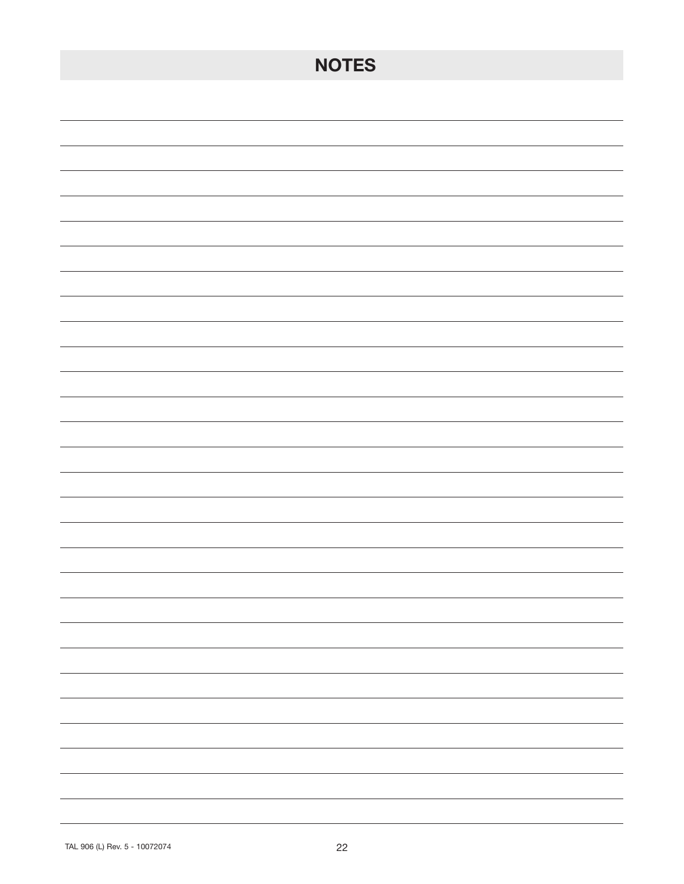| <b>NOTES</b> |
|--------------|
|              |
|              |
|              |
|              |
|              |
|              |
|              |
|              |
|              |
|              |
|              |
|              |
|              |
|              |
|              |
|              |
| -<br>-       |
| -            |
| Ξ.           |
| -            |
|              |
|              |
|              |
|              |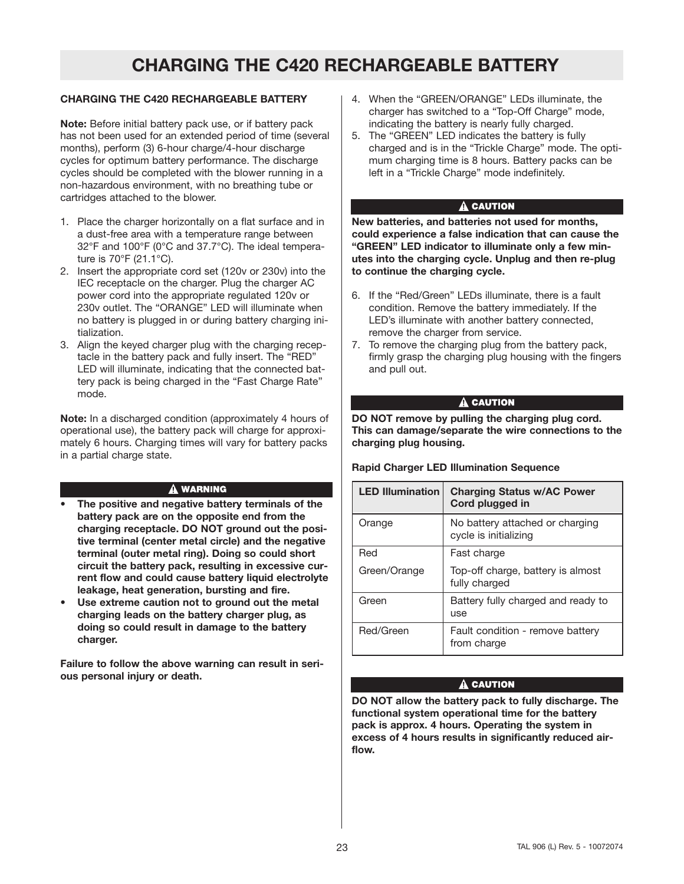# **CHARGING THE C420 RECHARGEABLE BATTERY**

# **CHARGING THE C420 RECHARGEABLE BATTERY**

**Note:** Before initial battery pack use, or if battery pack has not been used for an extended period of time (several months), perform (3) 6-hour charge/4-hour discharge cycles for optimum battery performance. The discharge cycles should be completed with the blower running in a non-hazardous environment, with no breathing tube or cartridges attached to the blower.

- 1. Place the charger horizontally on a flat surface and in a dust-free area with a temperature range between 32°F and 100°F (0°C and 37.7°C). The ideal temperature is 70°F (21.1°C).
- 2. Insert the appropriate cord set (120v or 230v) into the IEC receptacle on the charger. Plug the charger AC power cord into the appropriate regulated 120v or 230v outlet. The "ORANGE" LED will illuminate when no battery is plugged in or during battery charging initialization.
- 3. Align the keyed charger plug with the charging receptacle in the battery pack and fully insert. The "RED" LED will illuminate, indicating that the connected battery pack is being charged in the "Fast Charge Rate" mode.

**Note:** In a discharged condition (approximately 4 hours of operational use), the battery pack will charge for approximately 6 hours. Charging times will vary for battery packs in a partial charge state.

#### **A WARNING**

- **• The positive and negative battery terminals of the battery pack are on the opposite end from the charging receptacle. DO NOT ground out the positive terminal (center metal circle) and the negative terminal (outer metal ring). Doing so could short circuit the battery pack, resulting in excessive current flow and could cause battery liquid electrolyte leakage, heat generation, bursting and fire.**
- **• Use extreme caution not to ground out the metal charging leads on the battery charger plug, as doing so could result in damage to the battery charger.**

**Failure to follow the above warning can result in serious personal injury or death.**

- 4. When the "GREEN/ORANGE" LEDs illuminate, the charger has switched to a "Top-Off Charge" mode, indicating the battery is nearly fully charged.
- 5. The "GREEN" LED indicates the battery is fully charged and is in the "Trickle Charge" mode. The optimum charging time is 8 hours. Battery packs can be left in a "Trickle Charge" mode indefinitely.

### A CAUTION

**New batteries, and batteries not used for months, could experience a false indication that can cause the "GREEN" LED indicator to illuminate only a few minutes into the charging cycle. Unplug and then re-plug to continue the charging cycle.**

- 6. If the "Red/Green" LEDs illuminate, there is a fault condition. Remove the battery immediately. If the LED's illuminate with another battery connected, remove the charger from service.
- 7. To remove the charging plug from the battery pack, firmly grasp the charging plug housing with the fingers and pull out.

### $\mathbf{\triangle}$  CAUTION

**DO NOT remove by pulling the charging plug cord. This can damage/separate the wire connections to the charging plug housing.**

### **Rapid Charger LED Illumination Sequence**

| <b>LED Illumination</b> | <b>Charging Status w/AC Power</b><br>Cord plugged in     |
|-------------------------|----------------------------------------------------------|
| Orange                  | No battery attached or charging<br>cycle is initializing |
| Red                     | Fast charge                                              |
| Green/Orange            | Top-off charge, battery is almost<br>fully charged       |
| Green                   | Battery fully charged and ready to<br>use                |
| Red/Green               | Fault condition - remove battery<br>from charge          |

# A CAUTION

**DO NOT allow the battery pack to fully discharge. The functional system operational time for the battery pack is approx. 4 hours. Operating the system in excess of 4 hours results in significantly reduced airflow.**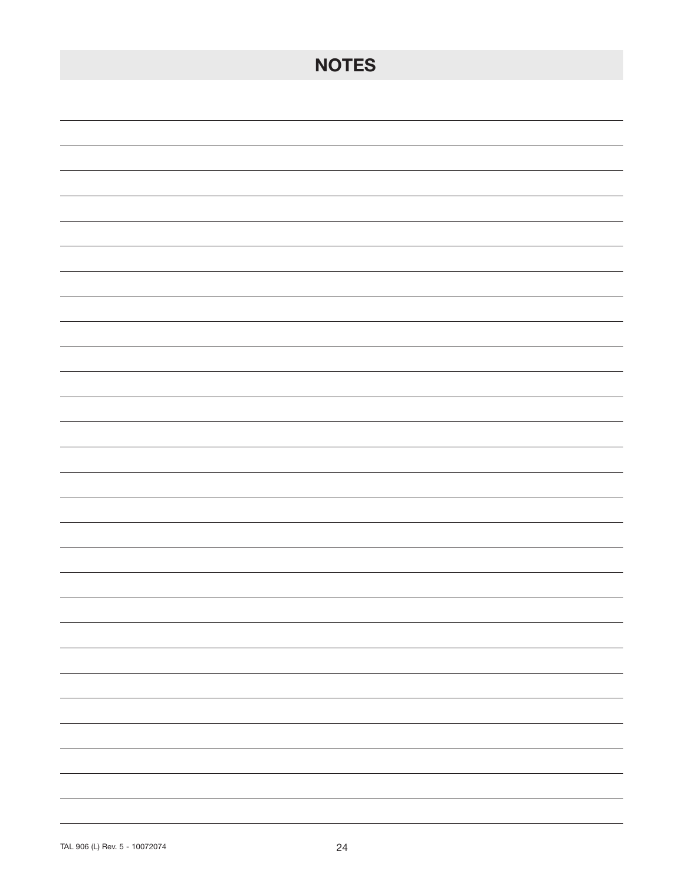| <b>NOTES</b>             |
|--------------------------|
|                          |
|                          |
|                          |
|                          |
|                          |
|                          |
|                          |
|                          |
|                          |
|                          |
|                          |
|                          |
|                          |
|                          |
|                          |
|                          |
|                          |
| $\overline{\phantom{0}}$ |
| -                        |
| $\overline{\phantom{0}}$ |
| Ξ.<br>-                  |
|                          |
|                          |
|                          |
|                          |
|                          |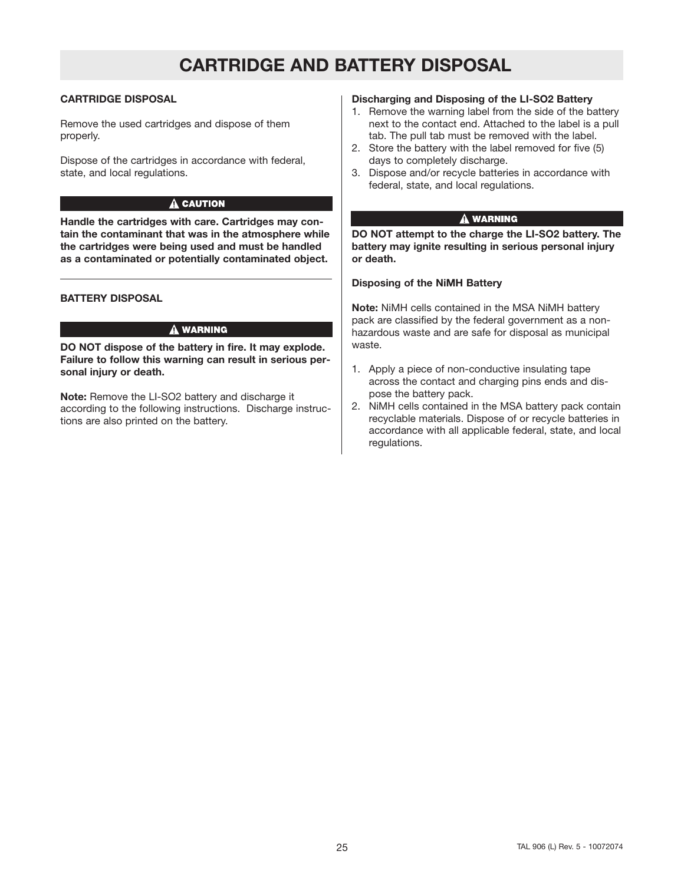# **CARTRIDGE AND BATTERY DISPOSAL**

# **CARTRIDGE DISPOSAL**

Remove the used cartridges and dispose of them properly.

Dispose of the cartridges in accordance with federal, state, and local regulations.

### A CAUTION

**Handle the cartridges with care. Cartridges may contain the contaminant that was in the atmosphere while the cartridges were being used and must be handled as a contaminated or potentially contaminated object.**

### **BATTERY DISPOSAL**

#### A WARNING

**DO NOT dispose of the battery in fire. It may explode. Failure to follow this warning can result in serious personal injury or death.**

**Note:** Remove the LI-SO2 battery and discharge it according to the following instructions. Discharge instructions are also printed on the battery.

## **Discharging and Disposing of the LI-SO2 Battery**

- 1. Remove the warning label from the side of the battery next to the contact end. Attached to the label is a pull tab. The pull tab must be removed with the label.
- 2. Store the battery with the label removed for five (5) days to completely discharge.
- 3. Dispose and/or recycle batteries in accordance with federal, state, and local regulations.

### **A WARNING**

**DO NOT attempt to the charge the LI-SO2 battery. The battery may ignite resulting in serious personal injury or death.**

### **Disposing of the NiMH Battery**

**Note:** NiMH cells contained in the MSA NiMH battery pack are classified by the federal government as a nonhazardous waste and are safe for disposal as municipal waste.

- 1. Apply a piece of non-conductive insulating tape across the contact and charging pins ends and dispose the battery pack.
- 2. NiMH cells contained in the MSA battery pack contain recyclable materials. Dispose of or recycle batteries in accordance with all applicable federal, state, and local regulations.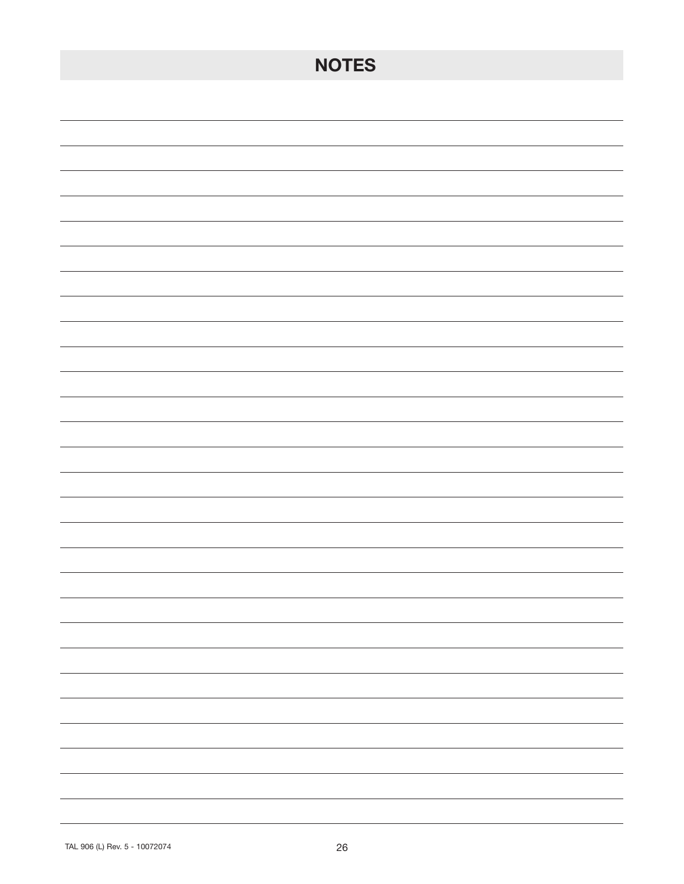| <b>NOTES</b>                                                                                                                                                                                                                                                                                                                                                                                                                                                               |
|----------------------------------------------------------------------------------------------------------------------------------------------------------------------------------------------------------------------------------------------------------------------------------------------------------------------------------------------------------------------------------------------------------------------------------------------------------------------------|
|                                                                                                                                                                                                                                                                                                                                                                                                                                                                            |
|                                                                                                                                                                                                                                                                                                                                                                                                                                                                            |
|                                                                                                                                                                                                                                                                                                                                                                                                                                                                            |
|                                                                                                                                                                                                                                                                                                                                                                                                                                                                            |
|                                                                                                                                                                                                                                                                                                                                                                                                                                                                            |
|                                                                                                                                                                                                                                                                                                                                                                                                                                                                            |
|                                                                                                                                                                                                                                                                                                                                                                                                                                                                            |
|                                                                                                                                                                                                                                                                                                                                                                                                                                                                            |
|                                                                                                                                                                                                                                                                                                                                                                                                                                                                            |
|                                                                                                                                                                                                                                                                                                                                                                                                                                                                            |
|                                                                                                                                                                                                                                                                                                                                                                                                                                                                            |
|                                                                                                                                                                                                                                                                                                                                                                                                                                                                            |
|                                                                                                                                                                                                                                                                                                                                                                                                                                                                            |
|                                                                                                                                                                                                                                                                                                                                                                                                                                                                            |
|                                                                                                                                                                                                                                                                                                                                                                                                                                                                            |
|                                                                                                                                                                                                                                                                                                                                                                                                                                                                            |
| $\overline{\phantom{0}}$                                                                                                                                                                                                                                                                                                                                                                                                                                                   |
| $\overline{\phantom{0}}$                                                                                                                                                                                                                                                                                                                                                                                                                                                   |
|                                                                                                                                                                                                                                                                                                                                                                                                                                                                            |
| $\frac{1}{2} \left( \frac{1}{2} \right) \left( \frac{1}{2} \right) \left( \frac{1}{2} \right) \left( \frac{1}{2} \right) \left( \frac{1}{2} \right) \left( \frac{1}{2} \right) \left( \frac{1}{2} \right) \left( \frac{1}{2} \right) \left( \frac{1}{2} \right) \left( \frac{1}{2} \right) \left( \frac{1}{2} \right) \left( \frac{1}{2} \right) \left( \frac{1}{2} \right) \left( \frac{1}{2} \right) \left( \frac{1}{2} \right) \left( \frac{1}{2} \right) \left( \frac$ |
| $\overline{\phantom{0}}$<br>$\overline{\phantom{0}}$                                                                                                                                                                                                                                                                                                                                                                                                                       |
| $\overline{\phantom{0}}$                                                                                                                                                                                                                                                                                                                                                                                                                                                   |
|                                                                                                                                                                                                                                                                                                                                                                                                                                                                            |
| -                                                                                                                                                                                                                                                                                                                                                                                                                                                                          |
|                                                                                                                                                                                                                                                                                                                                                                                                                                                                            |
|                                                                                                                                                                                                                                                                                                                                                                                                                                                                            |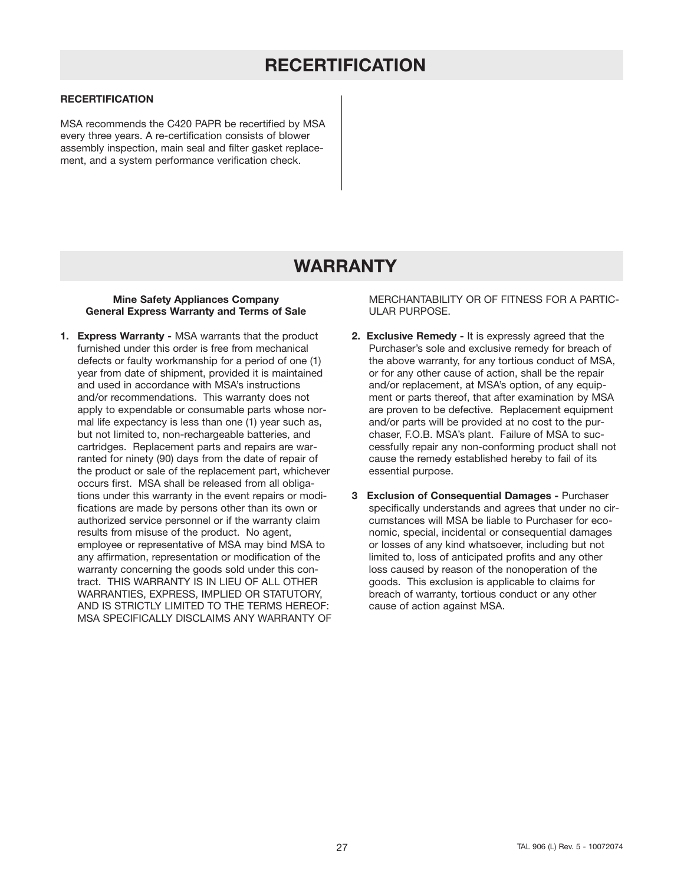# **RECERTIFICATION**

### **RECERTIFICATION**

MSA recommends the C420 PAPR be recertified by MSA every three years. A re-certification consists of blower assembly inspection, main seal and filter gasket replacement, and a system performance verification check.

# **WARRANTY**

### **Mine Safety Appliances Company General Express Warranty and Terms of Sale**

**1. Express Warranty -** MSA warrants that the product furnished under this order is free from mechanical defects or faulty workmanship for a period of one (1) year from date of shipment, provided it is maintained and used in accordance with MSA's instructions and/or recommendations. This warranty does not apply to expendable or consumable parts whose normal life expectancy is less than one (1) year such as, but not limited to, non-rechargeable batteries, and cartridges. Replacement parts and repairs are warranted for ninety (90) days from the date of repair of the product or sale of the replacement part, whichever occurs first. MSA shall be released from all obligations under this warranty in the event repairs or modifications are made by persons other than its own or authorized service personnel or if the warranty claim results from misuse of the product. No agent, employee or representative of MSA may bind MSA to any affirmation, representation or modification of the warranty concerning the goods sold under this contract. THIS WARRANTY IS IN LIEU OF ALL OTHER WARRANTIES, EXPRESS, IMPLIED OR STATUTORY, AND IS STRICTLY LIMITED TO THE TERMS HEREOF: MSA SPECIFICALLY DISCLAIMS ANY WARRANTY OF MERCHANTABILITY OR OF FITNESS FOR A PARTIC-ULAR PURPOSE.

- **2. Exclusive Remedy -** It is expressly agreed that the Purchaser's sole and exclusive remedy for breach of the above warranty, for any tortious conduct of MSA, or for any other cause of action, shall be the repair and/or replacement, at MSA's option, of any equipment or parts thereof, that after examination by MSA are proven to be defective. Replacement equipment and/or parts will be provided at no cost to the purchaser, F.O.B. MSA's plant. Failure of MSA to successfully repair any non-conforming product shall not cause the remedy established hereby to fail of its essential purpose.
- **3 Exclusion of Consequential Damages -** Purchaser specifically understands and agrees that under no circumstances will MSA be liable to Purchaser for economic, special, incidental or consequential damages or losses of any kind whatsoever, including but not limited to, loss of anticipated profits and any other loss caused by reason of the nonoperation of the goods. This exclusion is applicable to claims for breach of warranty, tortious conduct or any other cause of action against MSA.